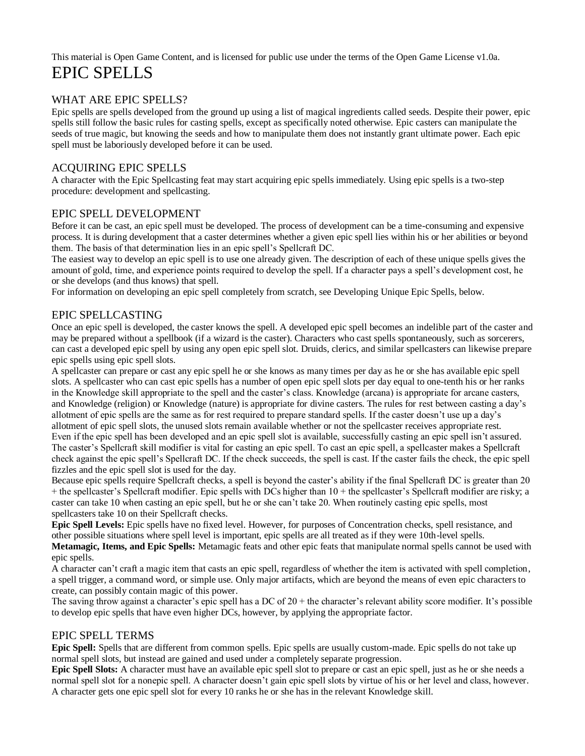This material is Open Game Content, and is licensed for public use under the terms of the Open Game License v1.0a. EPIC SPELLS

## WHAT ARE EPIC SPELLS?

Epic spells are spells developed from the ground up using a list of magical ingredients called seeds. Despite their power, epic spells still follow the basic rules for casting spells, except as specifically noted otherwise. Epic casters can manipulate the seeds of true magic, but knowing the seeds and how to manipulate them does not instantly grant ultimate power. Each epic spell must be laboriously developed before it can be used.

## ACQUIRING EPIC SPELLS

A character with the Epic Spellcasting feat may start acquiring epic spells immediately. Using epic spells is a two-step procedure: development and spellcasting.

## EPIC SPELL DEVELOPMENT

Before it can be cast, an epic spell must be developed. The process of development can be a time-consuming and expensive process. It is during development that a caster determines whether a given epic spell lies within his or her abilities or beyond them. The basis of that determination lies in an epic spell's Spellcraft DC.

The easiest way to develop an epic spell is to use one already given. The description of each of these unique spells gives the amount of gold, time, and experience points required to develop the spell. If a character pays a spell's development cost, he or she develops (and thus knows) that spell.

For information on developing an epic spell completely from scratch, see Developing Unique Epic Spells, below.

### EPIC SPELLCASTING

Once an epic spell is developed, the caster knows the spell. A developed epic spell becomes an indelible part of the caster and may be prepared without a spellbook (if a wizard is the caster). Characters who cast spells spontaneously, such as sorcerers, can cast a developed epic spell by using any open epic spell slot. Druids, clerics, and similar spellcasters can likewise prepare epic spells using epic spell slots.

A spellcaster can prepare or cast any epic spell he or she knows as many times per day as he or she has available epic spell slots. A spellcaster who can cast epic spells has a number of open epic spell slots per day equal to one-tenth his or her ranks in the Knowledge skill appropriate to the spell and the caster's class. Knowledge (arcana) is appropriate for arcane casters, and Knowledge (religion) or Knowledge (nature) is appropriate for divine casters. The rules for rest between casting a day's allotment of epic spells are the same as for rest required to prepare standard spells. If the caster doesn't use up a day's allotment of epic spell slots, the unused slots remain available whether or not the spellcaster receives appropriate rest. Even if the epic spell has been developed and an epic spell slot is available, successfully casting an epic spell isn't assured. The caster's Spellcraft skill modifier is vital for casting an epic spell. To cast an epic spell, a spellcaster makes a Spellcraft check against the epic spell's Spellcraft DC. If the check succeeds, the spell is cast. If the caster fails the check, the epic spell fizzles and the epic spell slot is used for the day.

Because epic spells require Spellcraft checks, a spell is beyond the caster's ability if the final Spellcraft DC is greater than 20 + the spellcaster's Spellcraft modifier. Epic spells with DCs higher than 10 + the spellcaster's Spellcraft modifier are risky; a caster can take 10 when casting an epic spell, but he or she can't take 20. When routinely casting epic spells, most spellcasters take 10 on their Spellcraft checks.

**Epic Spell Levels:** Epic spells have no fixed level. However, for purposes of Concentration checks, spell resistance, and other possible situations where spell level is important, epic spells are all treated as if they were 10th-level spells.

**Metamagic, Items, and Epic Spells:** Metamagic feats and other epic feats that manipulate normal spells cannot be used with epic spells.

A character can't craft a magic item that casts an epic spell, regardless of whether the item is activated with spell completion, a spell trigger, a command word, or simple use. Only major artifacts, which are beyond the means of even epic characters to create, can possibly contain magic of this power.

The saving throw against a character's epic spell has a DC of 20 + the character's relevant ability score modifier. It's possible to develop epic spells that have even higher DCs, however, by applying the appropriate factor.

## EPIC SPELL TERMS

**Epic Spell:** Spells that are different from common spells. Epic spells are usually custom-made. Epic spells do not take up normal spell slots, but instead are gained and used under a completely separate progression.

**Epic Spell Slots:** A character must have an available epic spell slot to prepare or cast an epic spell, just as he or she needs a normal spell slot for a nonepic spell. A character doesn't gain epic spell slots by virtue of his or her level and class, however. A character gets one epic spell slot for every 10 ranks he or she has in the relevant Knowledge skill.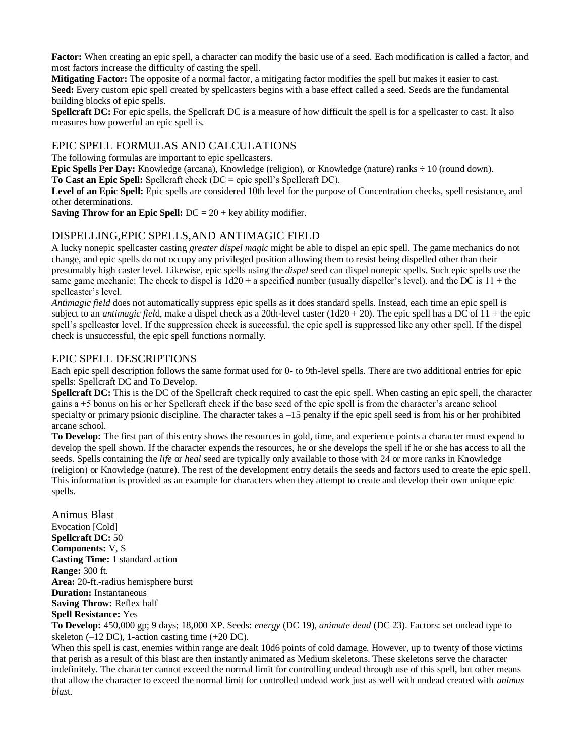**Factor:** When creating an epic spell, a character can modify the basic use of a seed. Each modification is called a factor, and most factors increase the difficulty of casting the spell.

**Mitigating Factor:** The opposite of a normal factor, a mitigating factor modifies the spell but makes it easier to cast. **Seed:** Every custom epic spell created by spellcasters begins with a base effect called a seed. Seeds are the fundamental building blocks of epic spells.

**Spellcraft DC:** For epic spells, the Spellcraft DC is a measure of how difficult the spell is for a spellcaster to cast. It also measures how powerful an epic spell is.

### EPIC SPELL FORMULAS AND CALCULATIONS

The following formulas are important to epic spellcasters.

**Epic Spells Per Day:** Knowledge (arcana), Knowledge (religion), or Knowledge (nature) ranks ÷ 10 (round down).

**To Cast an Epic Spell:** Spellcraft check (DC = epic spell's Spellcraft DC).

**Level of an Epic Spell:** Epic spells are considered 10th level for the purpose of Concentration checks, spell resistance, and other determinations.

**Saving Throw for an Epic Spell:** DC = 20 + key ability modifier.

## DISPELLING,EPIC SPELLS,AND ANTIMAGIC FIELD

A lucky nonepic spellcaster casting *greater dispel magic* might be able to dispel an epic spell. The game mechanics do not change, and epic spells do not occupy any privileged position allowing them to resist being dispelled other than their presumably high caster level. Likewise, epic spells using the *dispel* seed can dispel nonepic spells. Such epic spells use the same game mechanic: The check to dispel is  $1d20 + a$  specified number (usually dispeller's level), and the DC is  $11 +$  the spellcaster's level.

*Antimagic field* does not automatically suppress epic spells as it does standard spells. Instead, each time an epic spell is subject to an *antimagic fiel*d, make a dispel check as a 20th-level caster (1d20 + 20). The epic spell has a DC of 11 + the epic spell's spellcaster level. If the suppression check is successful, the epic spell is suppressed like any other spell. If the dispel check is unsuccessful, the epic spell functions normally.

## EPIC SPELL DESCRIPTIONS

Each epic spell description follows the same format used for 0- to 9th-level spells*.* There are two additional entries for epic spells: Spellcraft DC and To Develop.

**Spellcraft DC:** This is the DC of the Spellcraft check required to cast the epic spell. When casting an epic spell, the character gains a +5 bonus on his or her Spellcraft check if the base seed of the epic spell is from the character's arcane school specialty or primary psionic discipline. The character takes a –15 penalty if the epic spell seed is from his or her prohibited arcane school.

**To Develop:** The first part of this entry shows the resources in gold, time, and experience points a character must expend to develop the spell shown. If the character expends the resources, he or she develops the spell if he or she has access to all the seeds. Spells containing the *life* or *heal* seed are typically only available to those with 24 or more ranks in Knowledge (religion) or Knowledge (nature). The rest of the development entry details the seeds and factors used to create the epic spell. This information is provided as an example for characters when they attempt to create and develop their own unique epic spells.

Animus Blast Evocation [Cold] **Spellcraft DC:** 50 **Components:** V, S **Casting Time:** 1 standard action **Range:** 300 ft. **Area:** 20-ft.-radius hemisphere burst **Duration:** Instantaneous **Saving Throw:** Reflex half **Spell Resistance:** Yes

**To Develop:** 450,000 gp; 9 days; 18,000 XP. Seeds: *energy* (DC 19), *animate dead* (DC 23). Factors: set undead type to skeleton  $(-12 \text{ DC})$ , 1-action casting time  $(+20 \text{ DC})$ .

When this spell is cast, enemies within range are dealt 10d6 points of cold damage. However, up to twenty of those victims that perish as a result of this blast are then instantly animated as Medium skeletons. These skeletons serve the character indefinitely. The character cannot exceed the normal limit for controlling undead through use of this spell, but other means that allow the character to exceed the normal limit for controlled undead work just as well with undead created with *animus blas*t.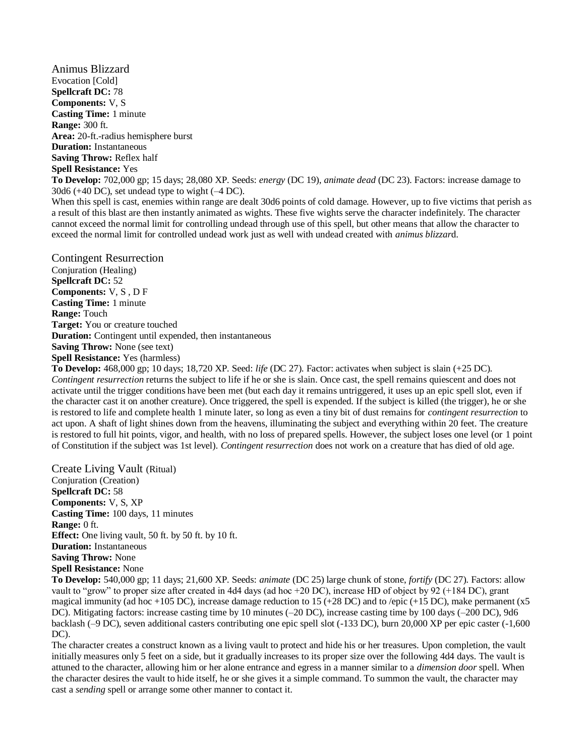Animus Blizzard Evocation [Cold] **Spellcraft DC:** 78 **Components:** V, S **Casting Time:** 1 minute **Range:** 300 ft. **Area:** 20-ft.-radius hemisphere burst **Duration:** Instantaneous **Saving Throw:** Reflex half **Spell Resistance:** Yes

**To Develop:** 702,000 gp; 15 days; 28,080 XP. Seeds: *energy* (DC 19), *animate dead* (DC 23). Factors: increase damage to 30d6 (+40 DC), set undead type to wight (–4 DC).

When this spell is cast, enemies within range are dealt 30d6 points of cold damage. However, up to five victims that perish as a result of this blast are then instantly animated as wights. These five wights serve the character indefinitely. The character cannot exceed the normal limit for controlling undead through use of this spell, but other means that allow the character to exceed the normal limit for controlled undead work just as well with undead created with *animus blizzar*d.

Contingent Resurrection Conjuration (Healing) **Spellcraft DC:** 52 **Components:** V, S , D F **Casting Time:** 1 minute **Range:** Touch **Target:** You or creature touched **Duration:** Contingent until expended, then instantaneous **Saving Throw:** None (see text) **Spell Resistance:** Yes (harmless)

**To Develop:** 468,000 gp; 10 days; 18,720 XP. Seed: *life* (DC 27). Factor: activates when subject is slain (+25 DC). *Contingent resurrection* returns the subject to life if he or she is slain. Once cast, the spell remains quiescent and does not activate until the trigger conditions have been met (but each day it remains untriggered, it uses up an epic spell slot, even if the character cast it on another creature). Once triggered, the spell is expended. If the subject is killed (the trigger), he or she is restored to life and complete health 1 minute later, so long as even a tiny bit of dust remains for *contingent resurrection* to act upon. A shaft of light shines down from the heavens, illuminating the subject and everything within 20 feet. The creature is restored to full hit points, vigor, and health, with no loss of prepared spells. However, the subject loses one level (or 1 point of Constitution if the subject was 1st level). *Contingent resurrection* does not work on a creature that has died of old age.

Create Living Vault (Ritual) Conjuration (Creation) **Spellcraft DC:** 58 **Components:** V, S, XP **Casting Time:** 100 days, 11 minutes **Range:** 0 ft. **Effect:** One living vault, 50 ft. by 50 ft. by 10 ft. **Duration:** Instantaneous **Saving Throw:** None **Spell Resistance:** None

**To Develop:** 540,000 gp; 11 days; 21,600 XP. Seeds: *animate* (DC 25) large chunk of stone, *fortify* (DC 27). Factors: allow vault to "grow" to proper size after created in 4d4 days (ad hoc +20 DC), increase HD of object by 92 (+184 DC), grant magical immunity (ad hoc +105 DC), increase damage reduction to 15 (+28 DC) and to /epic (+15 DC), make permanent (x5 DC). Mitigating factors: increase casting time by 10 minutes (–20 DC), increase casting time by 100 days (–200 DC), 9d6 backlash (–9 DC), seven additional casters contributing one epic spell slot (-133 DC), burn 20,000 XP per epic caster (-1,600 DC).

The character creates a construct known as a living vault to protect and hide his or her treasures. Upon completion, the vault initially measures only 5 feet on a side, but it gradually increases to its proper size over the following 4d4 days. The vault is attuned to the character, allowing him or her alone entrance and egress in a manner similar to a *dimension door* spell. When the character desires the vault to hide itself, he or she gives it a simple command. To summon the vault, the character may cast a *sending* spell or arrange some other manner to contact it.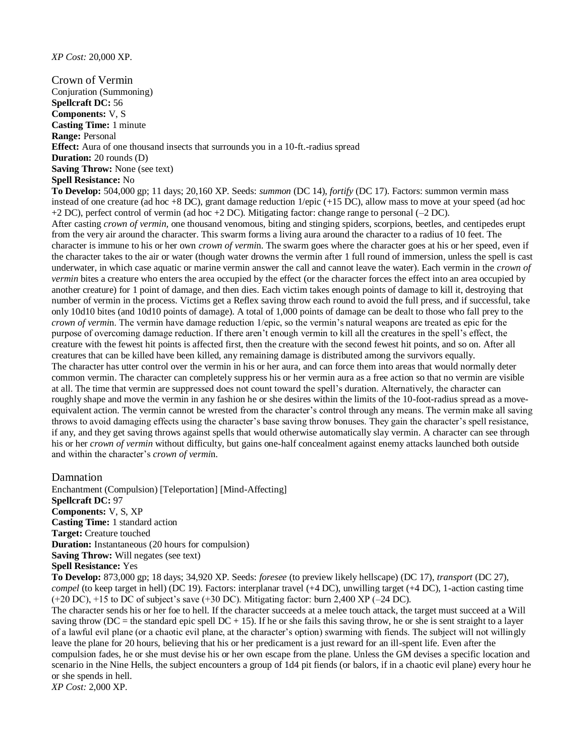#### *XP Cost:* 20,000 XP.

Crown of Vermin Conjuration (Summoning) **Spellcraft DC:** 56 **Components:** V, S **Casting Time:** 1 minute **Range:** Personal **Effect:** Aura of one thousand insects that surrounds you in a 10-ft.-radius spread **Duration:** 20 rounds (D) **Saving Throw:** None (see text) **Spell Resistance:** No

**To Develop:** 504,000 gp; 11 days; 20,160 XP. Seeds: *summon* (DC 14), *fortify* (DC 17). Factors: summon vermin mass instead of one creature (ad hoc +8 DC), grant damage reduction  $1/epic (+15 DC)$ , allow mass to move at your speed (ad hoc +2 DC), perfect control of vermin (ad hoc +2 DC). Mitigating factor: change range to personal (–2 DC). After casting *crown of vermin,* one thousand venomous, biting and stinging spiders, scorpions, beetles, and centipedes erupt from the very air around the character. This swarm forms a living aura around the character to a radius of 10 feet. The character is immune to his or her own *crown of vermi*n. The swarm goes where the character goes at his or her speed, even if the character takes to the air or water (though water drowns the vermin after 1 full round of immersion, unless the spell is cast underwater, in which case aquatic or marine vermin answer the call and cannot leave the water). Each vermin in the *crown of vermin* bites a creature who enters the area occupied by the effect (or the character forces the effect into an area occupied by another creature) for 1 point of damage, and then dies. Each victim takes enough points of damage to kill it, destroying that number of vermin in the process. Victims get a Reflex saving throw each round to avoid the full press, and if successful, take only 10d10 bites (and 10d10 points of damage). A total of 1,000 points of damage can be dealt to those who fall prey to the *crown of vermi*n. The vermin have damage reduction 1/epic, so the vermin's natural weapons are treated as epic for the purpose of overcoming damage reduction. If there aren't enough vermin to kill all the creatures in the spell's effect, the creature with the fewest hit points is affected first, then the creature with the second fewest hit points, and so on. After all creatures that can be killed have been killed, any remaining damage is distributed among the survivors equally. The character has utter control over the vermin in his or her aura, and can force them into areas that would normally deter common vermin. The character can completely suppress his or her vermin aura as a free action so that no vermin are visible at all. The time that vermin are suppressed does not count toward the spell's duration. Alternatively, the character can roughly shape and move the vermin in any fashion he or she desires within the limits of the 10-foot-radius spread as a moveequivalent action. The vermin cannot be wrested from the character's control through any means. The vermin make all saving throws to avoid damaging effects using the character's base saving throw bonuses. They gain the character's spell resistance, if any, and they get saving throws against spells that would otherwise automatically slay vermin. A character can see through his or her *crown of vermin* without difficulty, but gains one-half concealment against enemy attacks launched both outside and within the character's *crown of vermi*n.

#### Damnation

Enchantment (Compulsion) [Teleportation] [Mind-Affecting] **Spellcraft DC:** 97 **Components:** V, S, XP **Casting Time:** 1 standard action **Target:** Creature touched **Duration:** Instantaneous (20 hours for compulsion) **Saving Throw:** Will negates (see text) **Spell Resistance:** Yes

**To Develop:** 873,000 gp; 18 days; 34,920 XP. Seeds: *foresee* (to preview likely hellscape) (DC 17), *transport* (DC 27), *compel* (to keep target in hell) (DC 19). Factors: interplanar travel (+4 DC), unwilling target (+4 DC), 1-action casting time (+20 DC), +15 to DC of subject's save (+30 DC). Mitigating factor: burn 2,400 XP (–24 DC).

The character sends his or her foe to hell. If the character succeeds at a melee touch attack, the target must succeed at a Will saving throw (DC = the standard epic spell DC + 15). If he or she fails this saving throw, he or she is sent straight to a layer of a lawful evil plane (or a chaotic evil plane, at the character's option) swarming with fiends. The subject will not willingly leave the plane for 20 hours, believing that his or her predicament is a just reward for an ill-spent life. Even after the compulsion fades, he or she must devise his or her own escape from the plane. Unless the GM devises a specific location and scenario in the Nine Hells, the subject encounters a group of 1d4 pit fiends (or balors, if in a chaotic evil plane) every hour he or she spends in hell.

*XP Cost:* 2,000 XP.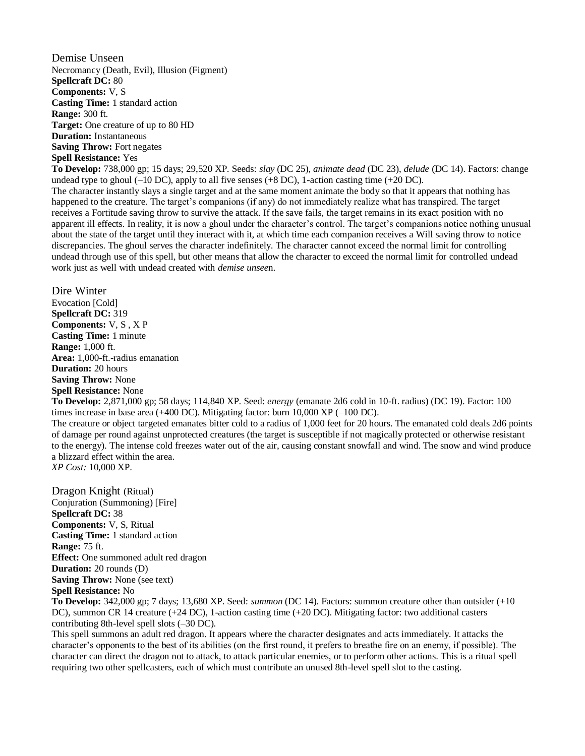Demise Unseen Necromancy (Death, Evil), Illusion (Figment) **Spellcraft DC:** 80 **Components:** V, S **Casting Time:** 1 standard action **Range:** 300 ft. **Target:** One creature of up to 80 HD **Duration:** Instantaneous **Saving Throw:** Fort negates **Spell Resistance:** Yes

**To Develop:** 738,000 gp; 15 days; 29,520 XP. Seeds: *slay* (DC 25), *animate dead* (DC 23), *delude* (DC 14). Factors: change undead type to ghoul  $(-10 \text{ DC})$ , apply to all five senses  $(+8 \text{ DC})$ , 1-action casting time  $(+20 \text{ DC})$ . The character instantly slays a single target and at the same moment animate the body so that it appears that nothing has happened to the creature. The target's companions (if any) do not immediately realize what has transpired. The target receives a Fortitude saving throw to survive the attack. If the save fails, the target remains in its exact position with no apparent ill effects. In reality, it is now a ghoul under the character's control. The target's companions notice nothing unusual about the state of the target until they interact with it, at which time each companion receives a Will saving throw to notice discrepancies. The ghoul serves the character indefinitely. The character cannot exceed the normal limit for controlling undead through use of this spell, but other means that allow the character to exceed the normal limit for controlled undead work just as well with undead created with *demise unsee*n.

Dire Winter Evocation [Cold] **Spellcraft DC:** 319 **Components:** V, S , X P **Casting Time:** 1 minute **Range:** 1,000 ft. **Area:** 1,000-ft.-radius emanation **Duration:** 20 hours **Saving Throw:** None **Spell Resistance:** None

**To Develop:** 2,871,000 gp; 58 days; 114,840 XP. Seed: *energy* (emanate 2d6 cold in 10-ft. radius) (DC 19). Factor: 100 times increase in base area (+400 DC). Mitigating factor: burn 10,000 XP (–100 DC).

The creature or object targeted emanates bitter cold to a radius of 1,000 feet for 20 hours. The emanated cold deals 2d6 points of damage per round against unprotected creatures (the target is susceptible if not magically protected or otherwise resistant to the energy). The intense cold freezes water out of the air, causing constant snowfall and wind. The snow and wind produce a blizzard effect within the area. *XP Cost:* 10,000 XP.

Dragon Knight (Ritual) Conjuration (Summoning) [Fire] **Spellcraft DC:** 38 **Components:** V, S, Ritual **Casting Time:** 1 standard action **Range:** 75 ft. **Effect:** One summoned adult red dragon **Duration:** 20 rounds (D) **Saving Throw:** None (see text) **Spell Resistance:** No

**To Develop:** 342,000 gp; 7 days; 13,680 XP. Seed: *summon* (DC 14). Factors: summon creature other than outsider (+10 DC), summon CR 14 creature (+24 DC), 1-action casting time (+20 DC). Mitigating factor: two additional casters contributing 8th-level spell slots (–30 DC).

This spell summons an adult red dragon. It appears where the character designates and acts immediately. It attacks the character's opponents to the best of its abilities (on the first round, it prefers to breathe fire on an enemy, if possible). The character can direct the dragon not to attack, to attack particular enemies, or to perform other actions. This is a ritual spell requiring two other spellcasters, each of which must contribute an unused 8th-level spell slot to the casting.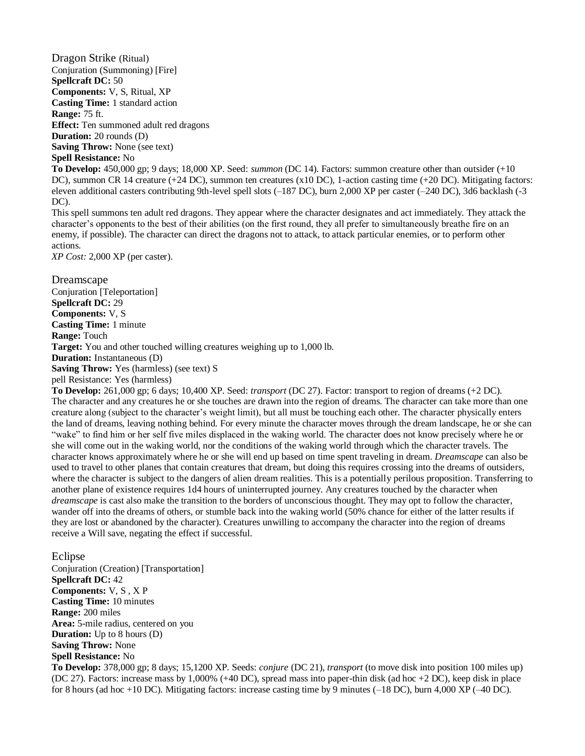Dragon Strike (Ritual) Conjuration (Summoning) [Fire] **Spellcraft DC:** 50 **Components:** V, S, Ritual, XP **Casting Time:** 1 standard action **Range:** 75 ft. **Effect:** Ten summoned adult red dragons **Duration:** 20 rounds (D)

**Saving Throw:** None (see text)

**Spell Resistance:** No

**To Develop:** 450,000 gp; 9 days; 18,000 XP. Seed: *summon* (DC 14). Factors: summon creature other than outsider (+10 DC), summon CR 14 creature (+24 DC), summon ten creatures (x10 DC), 1-action casting time (+20 DC). Mitigating factors: eleven additional casters contributing 9th-level spell slots (–187 DC), burn 2,000 XP per caster (–240 DC), 3d6 backlash (-3 DC).

This spell summons ten adult red dragons. They appear where the character designates and act immediately. They attack the character's opponents to the best of their abilities (on the first round, they all prefer to simultaneously breathe fire on an enemy, if possible). The character can direct the dragons not to attack, to attack particular enemies, or to perform other actions.

*XP Cost:* 2,000 XP (per caster).

**Dreamscape** Conjuration [Teleportation] **Spellcraft DC:** 29 **Components:** V, S **Casting Time:** 1 minute **Range:** Touch **Target:** You and other touched willing creatures weighing up to 1,000 lb. **Duration:** Instantaneous (D) **Saving Throw:** Yes (harmless) (see text) S

pell Resistance: Yes (harmless)

**To Develop:** 261,000 gp; 6 days; 10,400 XP. Seed: *transport* (DC 27). Factor: transport to region of dreams (+2 DC). The character and any creatures he or she touches are drawn into the region of dreams. The character can take more than one creature along (subject to the character's weight limit), but all must be touching each other. The character physically enters the land of dreams, leaving nothing behind. For every minute the character moves through the dream landscape, he or she can "wake" to find him or her self five miles displaced in the waking world. The character does not know precisely where he or she will come out in the waking world, nor the conditions of the waking world through which the character travels. The character knows approximately where he or she will end up based on time spent traveling in dream. *Dreamscape* can also be used to travel to other planes that contain creatures that dream, but doing this requires crossing into the dreams of outsiders, where the character is subject to the dangers of alien dream realities. This is a potentially perilous proposition. Transferring to another plane of existence requires 1d4 hours of uninterrupted journey. Any creatures touched by the character when *dreamscape* is cast also make the transition to the borders of unconscious thought. They may opt to follow the character, wander off into the dreams of others, or stumble back into the waking world (50% chance for either of the latter results if they are lost or abandoned by the character). Creatures unwilling to accompany the character into the region of dreams receive a Will save, negating the effect if successful.

#### Eclipse

Conjuration (Creation) [Transportation] **Spellcraft DC:** 42 **Components:** V, S , X P **Casting Time:** 10 minutes **Range:** 200 miles **Area:** 5-mile radius, centered on you **Duration:** Up to 8 hours (D) **Saving Throw:** None **Spell Resistance:** No

**To Develop:** 378,000 gp; 8 days; 15,1200 XP. Seeds: *conjure* (DC 21), *transport* (to move disk into position 100 miles up) (DC 27). Factors: increase mass by 1,000% (+40 DC), spread mass into paper-thin disk (ad hoc +2 DC), keep disk in place for 8 hours (ad hoc +10 DC). Mitigating factors: increase casting time by 9 minutes ( $-18$  DC), burn 4,000 XP ( $-40$  DC).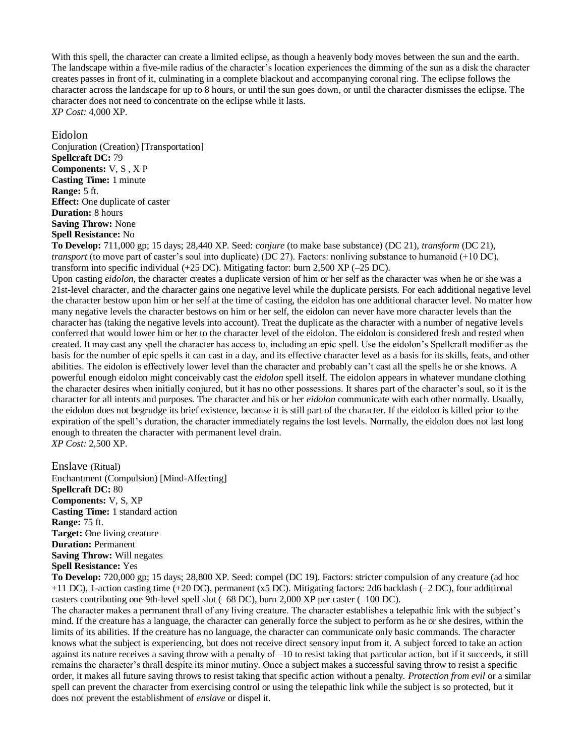With this spell, the character can create a limited eclipse, as though a heavenly body moves between the sun and the earth. The landscape within a five-mile radius of the character's location experiences the dimming of the sun as a disk the character creates passes in front of it, culminating in a complete blackout and accompanying coronal ring. The eclipse follows the character across the landscape for up to 8 hours, or until the sun goes down, or until the character dismisses the eclipse. The character does not need to concentrate on the eclipse while it lasts. *XP Cost:* 4,000 XP.

Eidolon Conjuration (Creation) [Transportation] **Spellcraft DC:** 79 **Components:** V, S , X P **Casting Time:** 1 minute **Range:** 5 ft. **Effect:** One duplicate of caster **Duration:** 8 hours **Saving Throw:** None **Spell Resistance:** No

**To Develop:** 711,000 gp; 15 days; 28,440 XP. Seed: *conjure* (to make base substance) (DC 21), *transform* (DC 21), *transport* (to move part of caster's soul into duplicate) (DC 27). Factors: nonliving substance to humanoid (+10 DC), transform into specific individual (+25 DC). Mitigating factor: burn 2,500 XP (–25 DC).

Upon casting *eidolon,* the character creates a duplicate version of him or her self as the character was when he or she was a 21st-level character, and the character gains one negative level while the duplicate persists. For each additional negative level the character bestow upon him or her self at the time of casting, the eidolon has one additional character level. No matter how many negative levels the character bestows on him or her self, the eidolon can never have more character levels than the character has (taking the negative levels into account). Treat the duplicate as the character with a number of negative levels conferred that would lower him or her to the character level of the eidolon. The eidolon is considered fresh and rested when created. It may cast any spell the character has access to, including an epic spell. Use the eidolon's Spellcraft modifier as the basis for the number of epic spells it can cast in a day, and its effective character level as a basis for its skills, feats, and other abilities. The eidolon is effectively lower level than the character and probably can't cast all the spells he or she knows. A powerful enough eidolon might conceivably cast the *eidolon* spell itself. The eidolon appears in whatever mundane clothing the character desires when initially conjured, but it has no other possessions. It shares part of the character's soul, so it is the character for all intents and purposes. The character and his or her *eidolon* communicate with each other normally. Usually, the eidolon does not begrudge its brief existence, because it is still part of the character. If the eidolon is killed prior to the expiration of the spell's duration, the character immediately regains the lost levels. Normally, the eidolon does not last long enough to threaten the character with permanent level drain. *XP Cost:* 2,500 XP.

Enslave (Ritual) Enchantment (Compulsion) [Mind-Affecting] **Spellcraft DC:** 80 **Components:** V, S, XP **Casting Time:** 1 standard action **Range:** 75 ft. **Target:** One living creature **Duration:** Permanent **Saving Throw:** Will negates **Spell Resistance:** Yes

**To Develop:** 720,000 gp; 15 days; 28,800 XP. Seed: compel (DC 19). Factors: stricter compulsion of any creature (ad hoc +11 DC), 1-action casting time (+20 DC), permanent (x5 DC). Mitigating factors: 2d6 backlash (–2 DC), four additional casters contributing one 9th-level spell slot (–68 DC), burn 2,000 XP per caster (–100 DC).

The character makes a permanent thrall of any living creature. The character establishes a telepathic link with the subject's mind. If the creature has a language, the character can generally force the subject to perform as he or she desires, within the limits of its abilities. If the creature has no language, the character can communicate only basic commands. The character knows what the subject is experiencing, but does not receive direct sensory input from it. A subject forced to take an action against its nature receives a saving throw with a penalty of –10 to resist taking that particular action, but if it succeeds, it still remains the character's thrall despite its minor mutiny. Once a subject makes a successful saving throw to resist a specific order, it makes all future saving throws to resist taking that specific action without a penalty. *Protection from evil* or a similar spell can prevent the character from exercising control or using the telepathic link while the subject is so protected, but it does not prevent the establishment of *enslave* or dispel it.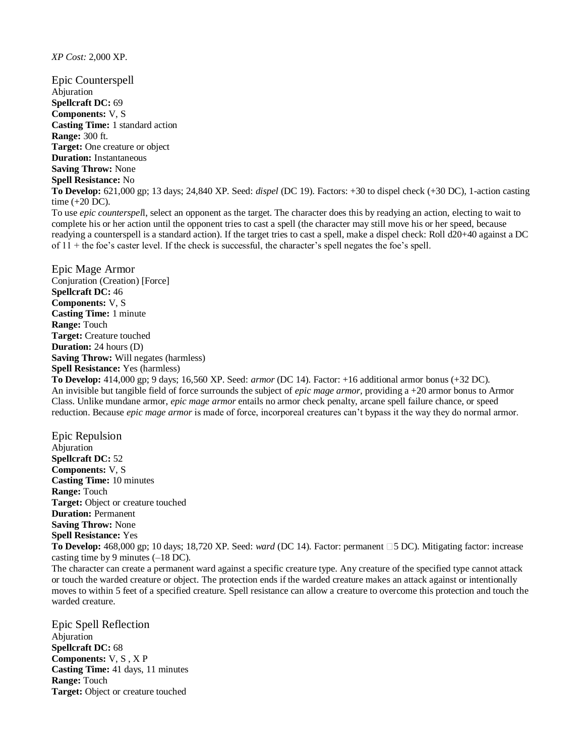#### *XP Cost:* 2,000 XP.

Epic Counterspell Abjuration **Spellcraft DC:** 69 **Components:** V, S **Casting Time:** 1 standard action **Range:** 300 ft. **Target:** One creature or object **Duration:** Instantaneous **Saving Throw:** None **Spell Resistance:** No **To Develop:** 621,000 gp; 13 days; 24,840 XP. Seed: *dispel* (DC 19). Factors: +30 to dispel check (+30 DC), 1-action casting time (+20 DC). To use *epic counterspel*l, select an opponent as the target. The character does this by readying an action, electing to wait to

complete his or her action until the opponent tries to cast a spell (the character may still move his or her speed, because readying a counterspell is a standard action). If the target tries to cast a spell, make a dispel check: Roll d20+40 against a DC of 11 + the foe's caster level. If the check is successful, the character's spell negates the foe's spell.

Epic Mage Armor Conjuration (Creation) [Force] **Spellcraft DC:** 46 **Components:** V, S **Casting Time:** 1 minute **Range:** Touch **Target:** Creature touched **Duration:** 24 hours (D) **Saving Throw:** Will negates (harmless) **Spell Resistance:** Yes (harmless)

**To Develop:** 414,000 gp; 9 days; 16,560 XP. Seed: *armor* (DC 14). Factor: +16 additional armor bonus (+32 DC). An invisible but tangible field of force surrounds the subject of *epic mage armor,* providing a +20 armor bonus to Armor Class. Unlike mundane armor, *epic mage armor* entails no armor check penalty, arcane spell failure chance, or speed reduction. Because *epic mage armor* is made of force, incorporeal creatures can't bypass it the way they do normal armor.

Epic Repulsion Abjuration **Spellcraft DC:** 52 **Components:** V, S **Casting Time:** 10 minutes **Range:** Touch **Target:** Object or creature touched **Duration:** Permanent **Saving Throw:** None **Spell Resistance:** Yes **To Develop:** 468,000 gp; 10 days; 18,720 XP. Seed: *ward* (DC 14). Factor: permanent 5 DC). Mitigating factor: increase casting time by 9 minutes (–18 DC). The character can create a permanent ward against a specific creature type. Any creature of the specified type cannot attack

or touch the warded creature or object. The protection ends if the warded creature makes an attack against or intentionally moves to within 5 feet of a specified creature. Spell resistance can allow a creature to overcome this protection and touch the warded creature.

Epic Spell Reflection Abjuration **Spellcraft DC:** 68 **Components:** V, S , X P **Casting Time:** 41 days, 11 minutes **Range:** Touch **Target:** Object or creature touched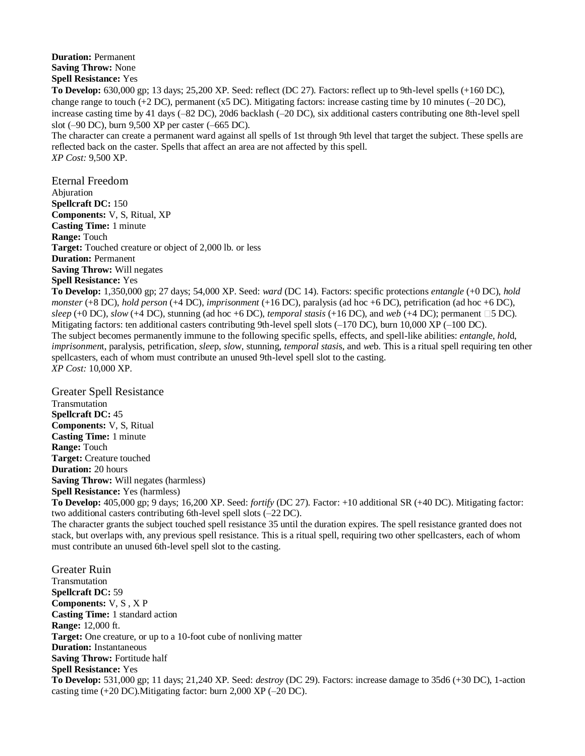**Duration:** Permanent **Saving Throw:** None **Spell Resistance:** Yes

**To Develop:** 630,000 gp; 13 days; 25,200 XP. Seed: reflect (DC 27). Factors: reflect up to 9th-level spells (+160 DC), change range to touch  $(+2 \text{ DC})$ , permanent (x5 DC). Mitigating factors: increase casting time by 10 minutes  $(-20 \text{ DC})$ , increase casting time by 41 days (–82 DC), 20d6 backlash (–20 DC), six additional casters contributing one 8th-level spell slot (–90 DC), burn 9,500 XP per caster (–665 DC).

The character can create a permanent ward against all spells of 1st through 9th level that target the subject. These spells are reflected back on the caster. Spells that affect an area are not affected by this spell. *XP Cost:* 9,500 XP.

Eternal Freedom Abjuration **Spellcraft DC:** 150 **Components:** V, S, Ritual, XP **Casting Time:** 1 minute **Range:** Touch **Target:** Touched creature or object of 2,000 lb. or less **Duration:** Permanent **Saving Throw:** Will negates **Spell Resistance:** Yes

**To Develop:** 1,350,000 gp; 27 days; 54,000 XP. Seed: *ward* (DC 14). Factors: specific protections *entangle* (+0 DC), *hold monster* (+8 DC), *hold person* (+4 DC), *imprisonment* (+16 DC), paralysis (ad hoc +6 DC), petrification (ad hoc +6 DC),  $sleep$  (+0 DC), *slow* (+4 DC), stunning (ad hoc +6 DC), *temporal stasis* (+16 DC), and *web* (+4 DC); permanent  $\Box$ 5 DC). Mitigating factors: ten additional casters contributing 9th-level spell slots (–170 DC), burn 10,000 XP (–100 DC). The subject becomes permanently immune to the following specific spells, effects, and spell-like abilities: *entangl*e, *hol*d, *imprisonmen*t, paralysis, petrification, *slee*p, *slo*w, stunning, *temporal stasi*s, and *we*b. This is a ritual spell requiring ten other spellcasters, each of whom must contribute an unused 9th-level spell slot to the casting. *XP Cost:* 10,000 XP.

Greater Spell Resistance Transmutation **Spellcraft DC:** 45 **Components:** V, S, Ritual **Casting Time:** 1 minute **Range:** Touch **Target:** Creature touched **Duration:** 20 hours **Saving Throw:** Will negates (harmless) **Spell Resistance:** Yes (harmless) **To Develop:** 405,000 gp; 9 days; 16,200 XP. Seed: *fortify* (DC 27). Factor: +10 additional SR (+40 DC). Mitigating factor: two additional casters contributing 6th-level spell slots (–22 DC). The character grants the subject touched spell resistance 35 until the duration expires. The spell resistance granted does not

stack, but overlaps with, any previous spell resistance. This is a ritual spell, requiring two other spellcasters, each of whom must contribute an unused 6th-level spell slot to the casting.

Greater Ruin Transmutation **Spellcraft DC:** 59 **Components:** V, S , X P **Casting Time:** 1 standard action **Range:** 12,000 ft. **Target:** One creature, or up to a 10-foot cube of nonliving matter **Duration:** Instantaneous **Saving Throw:** Fortitude half **Spell Resistance:** Yes **To Develop:** 531,000 gp; 11 days; 21,240 XP. Seed: *destroy* (DC 29). Factors: increase damage to 35d6 (+30 DC), 1-action casting time (+20 DC).Mitigating factor: burn 2,000 XP (–20 DC).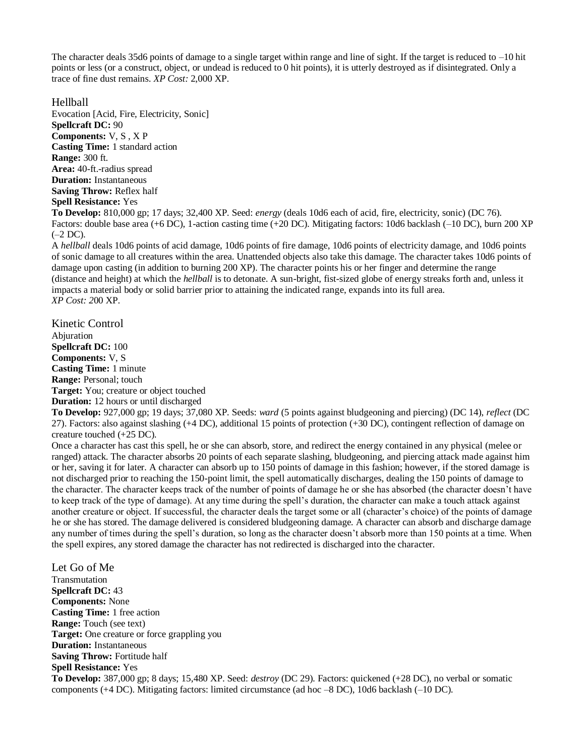The character deals 35d6 points of damage to a single target within range and line of sight. If the target is reduced to  $-10$  hit points or less (or a construct, object, or undead is reduced to 0 hit points), it is utterly destroyed as if disintegrated. Only a trace of fine dust remains. *XP Cost:* 2,000 XP.

Hellball

Evocation [Acid, Fire, Electricity, Sonic] **Spellcraft DC:** 90 **Components:** V, S , X P **Casting Time:** 1 standard action **Range:** 300 ft. **Area:** 40-ft.-radius spread **Duration:** Instantaneous **Saving Throw:** Reflex half **Spell Resistance:** Yes

**To Develop:** 810,000 gp; 17 days; 32,400 XP. Seed: *energy* (deals 10d6 each of acid, fire, electricity, sonic) (DC 76). Factors: double base area (+6 DC), 1-action casting time (+20 DC). Mitigating factors: 10d6 backlash (–10 DC), burn 200 XP (–2 DC).

A *hellball* deals 10d6 points of acid damage, 10d6 points of fire damage, 10d6 points of electricity damage, and 10d6 points of sonic damage to all creatures within the area. Unattended objects also take this damage. The character takes 10d6 points of damage upon casting (in addition to burning 200 XP). The character points his or her finger and determine the range (distance and height) at which the *hellball* is to detonate. A sun-bright, fist-sized globe of energy streaks forth and, unless it impacts a material body or solid barrier prior to attaining the indicated range, expands into its full area. *XP Cost: 2*00 XP.

Kinetic Control Abjuration **Spellcraft DC:** 100 **Components:** V, S **Casting Time:** 1 minute **Range:** Personal; touch **Target:** You; creature or object touched **Duration:** 12 hours or until discharged

**To Develop:** 927,000 gp; 19 days; 37,080 XP. Seeds: *ward* (5 points against bludgeoning and piercing) (DC 14), *reflect* (DC 27). Factors: also against slashing (+4 DC), additional 15 points of protection (+30 DC), contingent reflection of damage on creature touched (+25 DC).

Once a character has cast this spell, he or she can absorb, store, and redirect the energy contained in any physical (melee or ranged) attack. The character absorbs 20 points of each separate slashing, bludgeoning, and piercing attack made against him or her, saving it for later. A character can absorb up to 150 points of damage in this fashion; however, if the stored damage is not discharged prior to reaching the 150-point limit, the spell automatically discharges, dealing the 150 points of damage to the character. The character keeps track of the number of points of damage he or she has absorbed (the character doesn't have to keep track of the type of damage). At any time during the spell's duration, the character can make a touch attack against another creature or object. If successful, the character deals the target some or all (character's choice) of the points of damage he or she has stored. The damage delivered is considered bludgeoning damage. A character can absorb and discharge damage any number of times during the spell's duration, so long as the character doesn't absorb more than 150 points at a time. When the spell expires, any stored damage the character has not redirected is discharged into the character.

Let Go of Me Transmutation **Spellcraft DC:** 43 **Components:** None **Casting Time:** 1 free action **Range:** Touch (see text) **Target:** One creature or force grappling you **Duration:** Instantaneous **Saving Throw:** Fortitude half **Spell Resistance:** Yes **To Develop:** 387,000 gp; 8 days; 15,480 XP. Seed: *destroy* (DC 29). Factors: quickened (+28 DC), no verbal or somatic components (+4 DC). Mitigating factors: limited circumstance (ad hoc –8 DC), 10d6 backlash (–10 DC).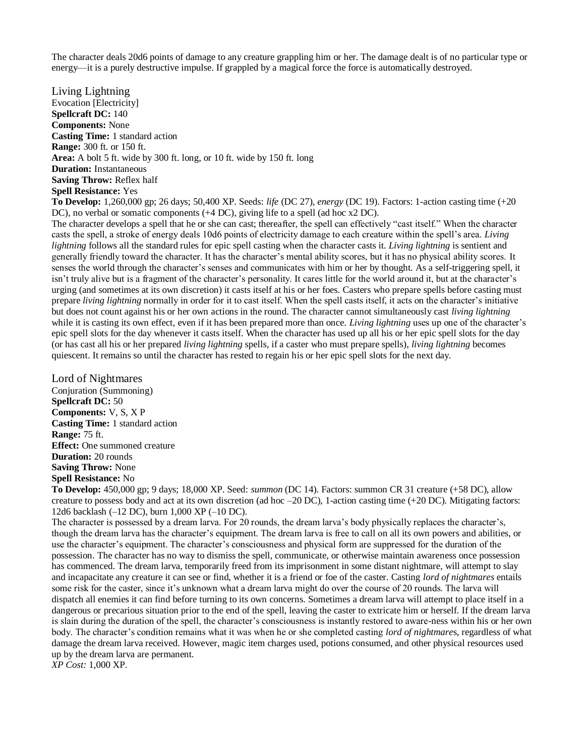The character deals 20d6 points of damage to any creature grappling him or her. The damage dealt is of no particular type or energy—it is a purely destructive impulse. If grappled by a magical force the force is automatically destroyed.

Living Lightning Evocation [Electricity] **Spellcraft DC:** 140 **Components:** None **Casting Time:** 1 standard action **Range:** 300 ft. or 150 ft. **Area:** A bolt 5 ft. wide by 300 ft. long, or 10 ft. wide by 150 ft. long **Duration:** Instantaneous **Saving Throw:** Reflex half **Spell Resistance:** Yes

**To Develop:** 1,260,000 gp; 26 days; 50,400 XP. Seeds: *life* (DC 27), *energy* (DC 19). Factors: 1-action casting time (+20 DC), no verbal or somatic components (+4 DC), giving life to a spell (ad hoc x2 DC).

The character develops a spell that he or she can cast; thereafter, the spell can effectively "cast itself." When the character casts the spell, a stroke of energy deals 10d6 points of electricity damage to each creature within the spell's area. *Living lightning* follows all the standard rules for epic spell casting when the character casts it. *Living lightning* is sentient and generally friendly toward the character. It has the character's mental ability scores, but it has no physical ability scores. It senses the world through the character's senses and communicates with him or her by thought. As a self-triggering spell, it isn't truly alive but is a fragment of the character's personality. It cares little for the world around it, but at the character's urging (and sometimes at its own discretion) it casts itself at his or her foes. Casters who prepare spells before casting must prepare *living lightning* normally in order for it to cast itself. When the spell casts itself, it acts on the character's initiative but does not count against his or her own actions in the round. The character cannot simultaneously cast *living lightning*  while it is casting its own effect, even if it has been prepared more than once. *Living lightning* uses up one of the character's epic spell slots for the day whenever it casts itself. When the character has used up all his or her epic spell slots for the day (or has cast all his or her prepared *living lightning* spells, if a caster who must prepare spells), *living lightning* becomes quiescent. It remains so until the character has rested to regain his or her epic spell slots for the next day.

Lord of Nightmares Conjuration (Summoning) **Spellcraft DC:** 50 **Components:** V, S, X P **Casting Time:** 1 standard action **Range:** 75 ft. **Effect:** One summoned creature **Duration:** 20 rounds **Saving Throw:** None **Spell Resistance:** No

**To Develop:** 450,000 gp; 9 days; 18,000 XP. Seed: *summon* (DC 14). Factors: summon CR 31 creature (+58 DC), allow creature to possess body and act at its own discretion (ad hoc  $-20$  DC), 1-action casting time (+20 DC). Mitigating factors: 12d6 backlash (–12 DC), burn 1,000 XP (–10 DC).

The character is possessed by a dream larva. For 20 rounds, the dream larva's body physically replaces the character's, though the dream larva has the character's equipment. The dream larva is free to call on all its own powers and abilities, or use the character's equipment. The character's consciousness and physical form are suppressed for the duration of the possession. The character has no way to dismiss the spell, communicate, or otherwise maintain awareness once possession has commenced. The dream larva, temporarily freed from its imprisonment in some distant nightmare, will attempt to slay and incapacitate any creature it can see or find, whether it is a friend or foe of the caster. Casting *lord of nightmares* entails some risk for the caster, since it's unknown what a dream larva might do over the course of 20 rounds. The larva will dispatch all enemies it can find before turning to its own concerns. Sometimes a dream larva will attempt to place itself in a dangerous or precarious situation prior to the end of the spell, leaving the caster to extricate him or herself. If the dream larva is slain during the duration of the spell, the character's consciousness is instantly restored to aware-ness within his or her own body. The character's condition remains what it was when he or she completed casting *lord of nightmare*s, regardless of what damage the dream larva received. However, magic item charges used, potions consumed, and other physical resources used up by the dream larva are permanent.

*XP Cost:* 1,000 XP.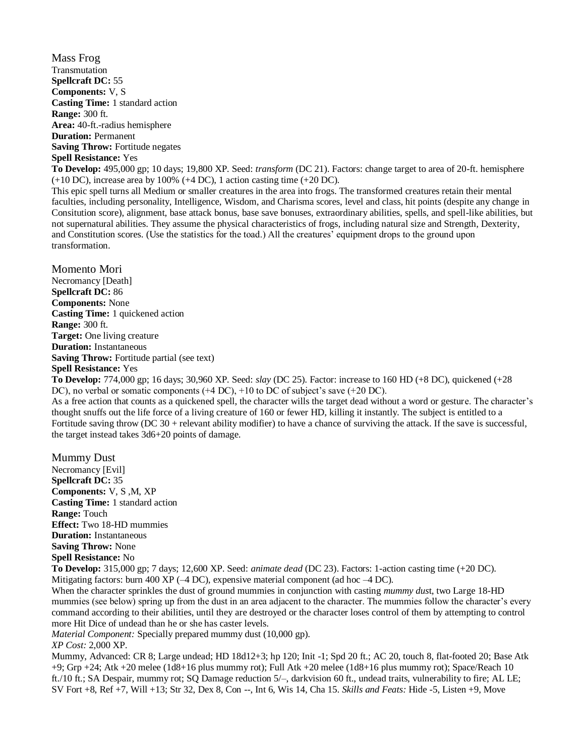Mass Frog Transmutation **Spellcraft DC:** 55 **Components:** V, S **Casting Time:** 1 standard action **Range:** 300 ft. **Area:** 40-ft.-radius hemisphere **Duration:** Permanent **Saving Throw:** Fortitude negates **Spell Resistance:** Yes **To Develop:** 495,000 gp; 10 days; 19,800 XP. Seed: *transform* (DC 21). Factors: change target to area of 20-ft. hemisphere  $(+10 \text{ DC})$ , increase area by 100%  $(+4 \text{ DC})$ , 1 action casting time  $(+20 \text{ DC})$ . This epic spell turns all Medium or smaller creatures in the area into frogs. The transformed creatures retain their mental faculties, including personality, Intelligence, Wisdom, and Charisma scores, level and class, hit points (despite any change in Consitution score), alignment, base attack bonus, base save bonuses, extraordinary abilities, spells, and spell-like abilities, but

not supernatural abilities. They assume the physical characteristics of frogs, including natural size and Strength, Dexterity, and Constitution scores. (Use the statistics for the toad.) All the creatures' equipment drops to the ground upon transformation.

Momento Mori Necromancy [Death] **Spellcraft DC:** 86 **Components:** None **Casting Time:** 1 quickened action **Range:** 300 ft. **Target:** One living creature **Duration:** Instantaneous **Saving Throw:** Fortitude partial (see text) **Spell Resistance:** Yes

**To Develop:** 774,000 gp; 16 days; 30,960 XP. Seed: *slay* (DC 25). Factor: increase to 160 HD (+8 DC), quickened (+28 DC), no verbal or somatic components (+4 DC), +10 to DC of subject's save (+20 DC).

As a free action that counts as a quickened spell, the character wills the target dead without a word or gesture. The character's thought snuffs out the life force of a living creature of 160 or fewer HD, killing it instantly. The subject is entitled to a Fortitude saving throw (DC 30 + relevant ability modifier) to have a chance of surviving the attack. If the save is successful, the target instead takes 3d6+20 points of damage.

Mummy Dust Necromancy [Evil] **Spellcraft DC:** 35 **Components:** V, S ,M, XP **Casting Time:** 1 standard action **Range:** Touch **Effect:** Two 18-HD mummies **Duration:** Instantaneous **Saving Throw:** None **Spell Resistance:** No **To Develop:** 315,000 gp; 7 days; 12,600 XP. Seed: *animate dead* (DC 23). Factors: 1-action casting time (+20 DC). Mitigating factors: burn 400 XP ( $-4$  DC), expensive material component (ad hoc  $-4$  DC). When the character sprinkles the dust of ground mummies in conjunction with casting *mummy dus*t, two Large 18-HD

mummies (see below) spring up from the dust in an area adjacent to the character. The mummies follow the character's every command according to their abilities, until they are destroyed or the character loses control of them by attempting to control more Hit Dice of undead than he or she has caster levels.

*Material Component:* Specially prepared mummy dust (10,000 gp).

*XP Cost:* 2,000 XP.

Mummy, Advanced: CR 8; Large undead; HD 18d12+3; hp 120; Init -1; Spd 20 ft.; AC 20, touch 8, flat-footed 20; Base Atk +9; Grp +24; Atk +20 melee (1d8+16 plus mummy rot); Full Atk +20 melee (1d8+16 plus mummy rot); Space/Reach 10 ft./10 ft.; SA Despair, mummy rot; SQ Damage reduction 5/–, darkvision 60 ft., undead traits, vulnerability to fire; AL LE; SV Fort +8, Ref +7, Will +13; Str 32, Dex 8, Con --, Int 6, Wis 14, Cha 15. *Skills and Feats:* Hide -5, Listen +9, Move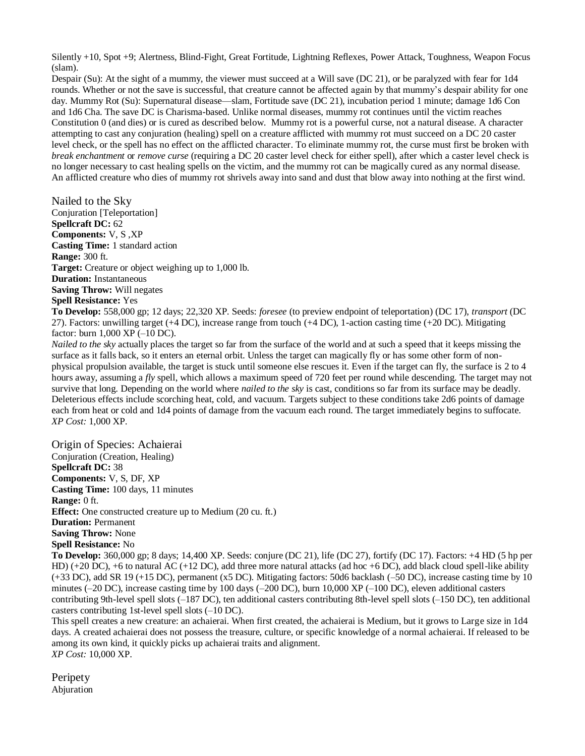Silently +10, Spot +9; Alertness, Blind-Fight, Great Fortitude, Lightning Reflexes, Power Attack, Toughness, Weapon Focus (slam).

Despair (Su): At the sight of a mummy, the viewer must succeed at a Will save (DC 21), or be paralyzed with fear for 1d4 rounds. Whether or not the save is successful, that creature cannot be affected again by that mummy's despair ability for one day. Mummy Rot (Su): Supernatural disease—slam, Fortitude save (DC 21), incubation period 1 minute; damage 1d6 Con and 1d6 Cha. The save DC is Charisma-based. Unlike normal diseases, mummy rot continues until the victim reaches Constitution 0 (and dies) or is cured as described below. Mummy rot is a powerful curse, not a natural disease. A character attempting to cast any conjuration (healing) spell on a creature afflicted with mummy rot must succeed on a DC 20 caster level check, or the spell has no effect on the afflicted character. To eliminate mummy rot, the curse must first be broken with *break enchantment* or *remove curse* (requiring a DC 20 caster level check for either spell), after which a caster level check is no longer necessary to cast healing spells on the victim, and the mummy rot can be magically cured as any normal disease. An afflicted creature who dies of mummy rot shrivels away into sand and dust that blow away into nothing at the first wind.

Nailed to the Sky Conjuration [Teleportation] **Spellcraft DC:** 62 **Components:** V, S ,XP **Casting Time:** 1 standard action **Range:** 300 ft. **Target:** Creature or object weighing up to 1,000 lb. **Duration:** Instantaneous **Saving Throw:** Will negates **Spell Resistance:** Yes

**To Develop:** 558,000 gp; 12 days; 22,320 XP. Seeds: *foresee* (to preview endpoint of teleportation) (DC 17), *transport* (DC 27). Factors: unwilling target (+4 DC), increase range from touch (+4 DC), 1-action casting time (+20 DC). Mitigating factor: burn 1,000 XP (–10 DC).

*Nailed to the sky* actually places the target so far from the surface of the world and at such a speed that it keeps missing the surface as it falls back, so it enters an eternal orbit. Unless the target can magically fly or has some other form of nonphysical propulsion available, the target is stuck until someone else rescues it. Even if the target can fly, the surface is 2 to 4 hours away, assuming a *fly* spell, which allows a maximum speed of 720 feet per round while descending. The target may not survive that long. Depending on the world where *nailed to the sky* is cast, conditions so far from its surface may be deadly. Deleterious effects include scorching heat, cold, and vacuum. Targets subject to these conditions take 2d6 points of damage each from heat or cold and 1d4 points of damage from the vacuum each round. The target immediately begins to suffocate. *XP Cost:* 1,000 XP.

Origin of Species: Achaierai Conjuration (Creation, Healing) **Spellcraft DC:** 38 **Components:** V, S, DF, XP **Casting Time:** 100 days, 11 minutes **Range:** 0 ft. **Effect:** One constructed creature up to Medium (20 cu. ft.) **Duration:** Permanent **Saving Throw:** None **Spell Resistance:** No **To Develop:** 360,000 gp; 8 days; 14,400 XP. Seeds: conjure (DC 21), life (DC 27), fortify (DC 17). Factors: +4 HD (5 hp per

HD)  $(+20 \text{ DC})$ ,  $+6$  to natural AC  $(+12 \text{ DC})$ , add three more natural attacks (ad hoc  $+6 \text{ DC}$ ), add black cloud spell-like ability (+33 DC), add SR 19 (+15 DC), permanent (x5 DC). Mitigating factors: 50d6 backlash (–50 DC), increase casting time by 10 minutes (–20 DC), increase casting time by 100 days (–200 DC), burn 10,000 XP (–100 DC), eleven additional casters contributing 9th-level spell slots (–187 DC), ten additional casters contributing 8th-level spell slots (–150 DC), ten additional casters contributing 1st-level spell slots (–10 DC).

This spell creates a new creature: an achaierai. When first created, the achaierai is Medium, but it grows to Large size in 1d4 days. A created achaierai does not possess the treasure, culture, or specific knowledge of a normal achaierai. If released to be among its own kind, it quickly picks up achaierai traits and alignment. *XP Cost:* 10,000 XP.

**Peripety** Abjuration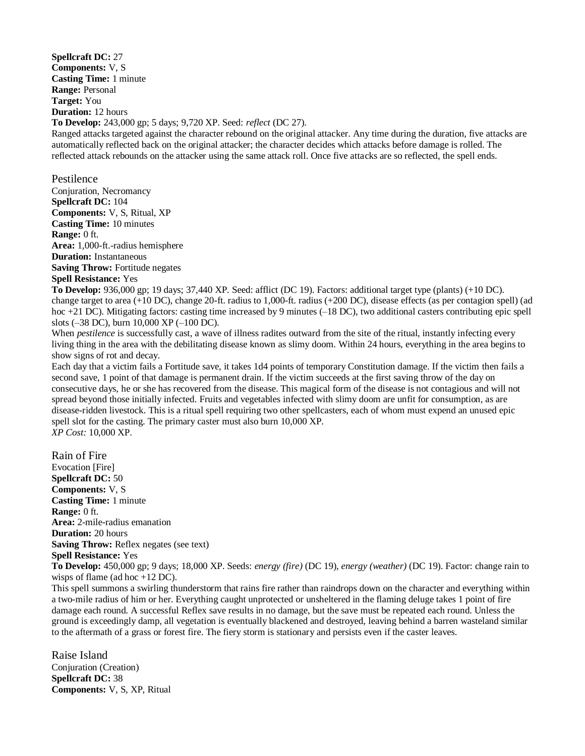**Spellcraft DC:** 27 **Components:** V, S **Casting Time:** 1 minute **Range:** Personal **Target:** You **Duration:** 12 hours **To Develop:** 243,000 gp; 5 days; 9,720 XP. Seed: *reflect* (DC 27). Ranged attacks targeted against the character rebound on the original attacker. Any time during the duration, five attacks are automatically reflected back on the original attacker; the character decides which attacks before damage is rolled. The

reflected attack rebounds on the attacker using the same attack roll. Once five attacks are so reflected, the spell ends.

Pestilence Conjuration, Necromancy **Spellcraft DC:** 104 **Components:** V, S, Ritual, XP **Casting Time:** 10 minutes **Range:** 0 ft. **Area:** 1,000-ft.-radius hemisphere **Duration:** Instantaneous **Saving Throw:** Fortitude negates **Spell Resistance:** Yes

**To Develop:** 936,000 gp; 19 days; 37,440 XP. Seed: afflict (DC 19). Factors: additional target type (plants) (+10 DC). change target to area (+10 DC), change 20-ft. radius to 1,000-ft. radius (+200 DC), disease effects (as per contagion spell) (ad hoc +21 DC). Mitigating factors: casting time increased by 9 minutes (–18 DC), two additional casters contributing epic spell slots (–38 DC), burn 10,000 XP (–100 DC).

When *pestilence* is successfully cast, a wave of illness radites outward from the site of the ritual, instantly infecting every living thing in the area with the debilitating disease known as slimy doom. Within 24 hours, everything in the area begins to show signs of rot and decay.

Each day that a victim fails a Fortitude save, it takes 1d4 points of temporary Constitution damage. If the victim then fails a second save, 1 point of that damage is permanent drain. If the victim succeeds at the first saving throw of the day on consecutive days, he or she has recovered from the disease. This magical form of the disease is not contagious and will not spread beyond those initially infected. Fruits and vegetables infected with slimy doom are unfit for consumption, as are disease-ridden livestock. This is a ritual spell requiring two other spellcasters, each of whom must expend an unused epic spell slot for the casting. The primary caster must also burn 10,000 XP. *XP Cost:* 10,000 XP.

Rain of Fire Evocation [Fire] **Spellcraft DC:** 50 **Components:** V, S **Casting Time:** 1 minute **Range:** 0 ft. **Area:** 2-mile-radius emanation **Duration:** 20 hours **Saving Throw:** Reflex negates (see text) **Spell Resistance:** Yes **To Develop:** 450,000 gp; 9 days; 18,000 XP. Seeds: *energy (fire)* (DC 19), *energy (weather)* (DC 19). Factor: change rain to wisps of flame (ad hoc +12 DC). This spell summons a swirling thunderstorm that rains fire rather than raindrops down on the character and everything within a two-mile radius of him or her. Everything caught unprotected or unsheltered in the flaming deluge takes 1 point of fire

damage each round. A successful Reflex save results in no damage, but the save must be repeated each round. Unless the ground is exceedingly damp, all vegetation is eventually blackened and destroyed, leaving behind a barren wasteland similar to the aftermath of a grass or forest fire. The fiery storm is stationary and persists even if the caster leaves.

Raise Island Conjuration (Creation) **Spellcraft DC:** 38 **Components:** V, S, XP, Ritual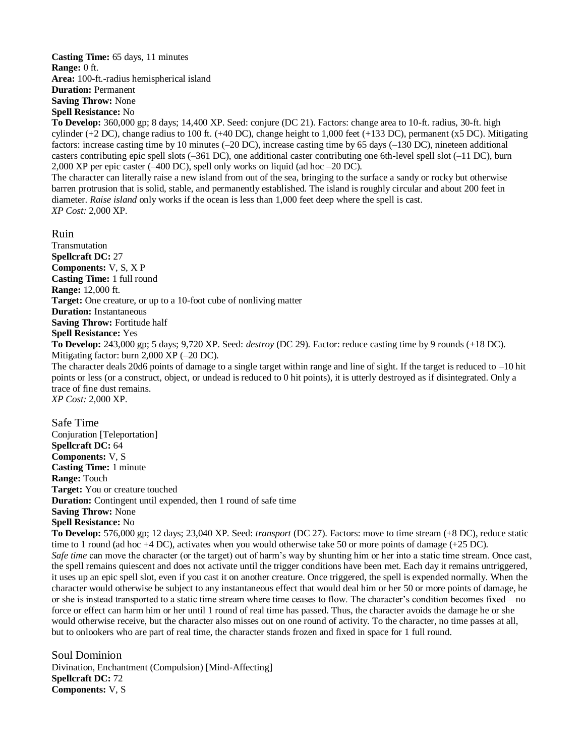#### **Casting Time:** 65 days, 11 minutes **Range:** 0 ft. **Area:** 100-ft.-radius hemispherical island **Duration:** Permanent **Saving Throw:** None **Spell Resistance:** No

**To Develop:** 360,000 gp; 8 days; 14,400 XP. Seed: conjure (DC 21). Factors: change area to 10-ft. radius, 30-ft. high cylinder (+2 DC), change radius to 100 ft. (+40 DC), change height to 1,000 feet (+133 DC), permanent (x5 DC). Mitigating factors: increase casting time by 10 minutes (–20 DC), increase casting time by 65 days (–130 DC), nineteen additional casters contributing epic spell slots (–361 DC), one additional caster contributing one 6th-level spell slot (–11 DC), burn 2,000 XP per epic caster (–400 DC), spell only works on liquid (ad hoc –20 DC).

The character can literally raise a new island from out of the sea, bringing to the surface a sandy or rocky but otherwise barren protrusion that is solid, stable, and permanently established. The island is roughly circular and about 200 feet in diameter. *Raise island* only works if the ocean is less than 1,000 feet deep where the spell is cast. *XP Cost:* 2,000 XP.

Ruin

**Transmutation Spellcraft DC:** 27 **Components:** V, S, X P **Casting Time:** 1 full round **Range:** 12,000 ft. **Target:** One creature, or up to a 10-foot cube of nonliving matter **Duration:** Instantaneous **Saving Throw:** Fortitude half **Spell Resistance:** Yes **To Develop:** 243,000 gp; 5 days; 9,720 XP. Seed: *destroy* (DC 29). Factor: reduce casting time by 9 rounds (+18 DC). Mitigating factor: burn 2,000 XP (–20 DC). The character deals 20d6 points of damage to a single target within range and line of sight. If the target is reduced to –10 hit points or less (or a construct, object, or undead is reduced to 0 hit points), it is utterly destroyed as if disintegrated. Only a trace of fine dust remains. *XP Cost:* 2,000 XP.

Safe Time Conjuration [Teleportation] **Spellcraft DC:** 64 **Components:** V, S **Casting Time:** 1 minute **Range:** Touch **Target:** You or creature touched **Duration:** Contingent until expended, then 1 round of safe time **Saving Throw:** None **Spell Resistance:** No

**To Develop:** 576,000 gp; 12 days; 23,040 XP. Seed: *transport* (DC 27). Factors: move to time stream (+8 DC), reduce static time to 1 round (ad hoc  $+4$  DC), activates when you would otherwise take 50 or more points of damage  $(+25$  DC). *Safe time* can move the character (or the target) out of harm's way by shunting him or her into a static time stream. Once cast, the spell remains quiescent and does not activate until the trigger conditions have been met. Each day it remains untriggered, it uses up an epic spell slot, even if you cast it on another creature. Once triggered, the spell is expended normally. When the character would otherwise be subject to any instantaneous effect that would deal him or her 50 or more points of damage, he or she is instead transported to a static time stream where time ceases to flow. The character's condition becomes fixed—no force or effect can harm him or her until 1 round of real time has passed. Thus, the character avoids the damage he or she would otherwise receive, but the character also misses out on one round of activity. To the character, no time passes at all, but to onlookers who are part of real time, the character stands frozen and fixed in space for 1 full round.

Soul Dominion Divination, Enchantment (Compulsion) [Mind-Affecting] **Spellcraft DC:** 72 **Components:** V, S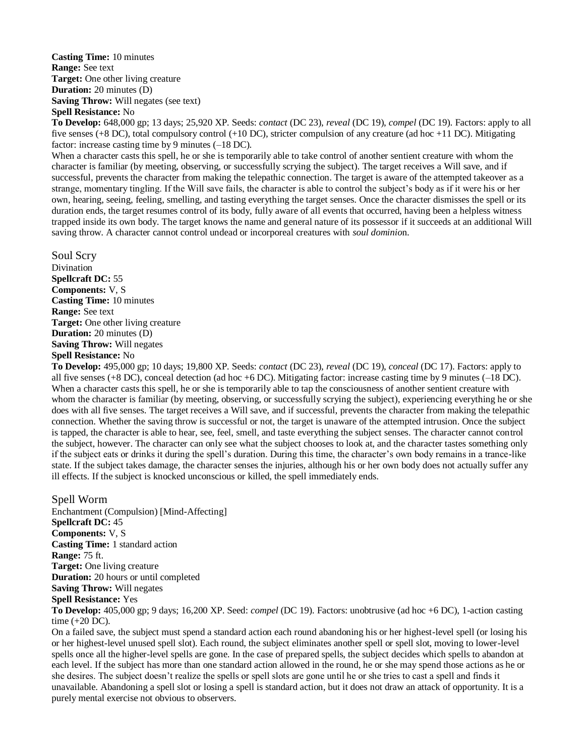**Casting Time:** 10 minutes **Range:** See text **Target:** One other living creature **Duration:** 20 minutes (D) **Saving Throw:** Will negates (see text) **Spell Resistance:** No

**To Develop:** 648,000 gp; 13 days; 25,920 XP. Seeds: *contact* (DC 23), *reveal* (DC 19), *compel* (DC 19). Factors: apply to all five senses (+8 DC), total compulsory control (+10 DC), stricter compulsion of any creature (ad hoc +11 DC). Mitigating factor: increase casting time by 9 minutes (–18 DC).

When a character casts this spell, he or she is temporarily able to take control of another sentient creature with whom the character is familiar (by meeting, observing, or successfully scrying the subject). The target receives a Will save, and if successful, prevents the character from making the telepathic connection. The target is aware of the attempted takeover as a strange, momentary tingling. If the Will save fails, the character is able to control the subject's body as if it were his or her own, hearing, seeing, feeling, smelling, and tasting everything the target senses. Once the character dismisses the spell or its duration ends, the target resumes control of its body, fully aware of all events that occurred, having been a helpless witness trapped inside its own body. The target knows the name and general nature of its possessor if it succeeds at an additional Will saving throw. A character cannot control undead or incorporeal creatures with *soul dominio*n.

Soul Scry Divination **Spellcraft DC:** 55 **Components:** V, S **Casting Time:** 10 minutes **Range:** See text **Target:** One other living creature **Duration:** 20 minutes (D) **Saving Throw:** Will negates **Spell Resistance:** No

**To Develop:** 495,000 gp; 10 days; 19,800 XP. Seeds: *contact* (DC 23), *reveal* (DC 19), *conceal* (DC 17). Factors: apply to all five senses (+8 DC), conceal detection (ad hoc +6 DC). Mitigating factor: increase casting time by 9 minutes ( $-18$  DC). When a character casts this spell, he or she is temporarily able to tap the consciousness of another sentient creature with whom the character is familiar (by meeting, observing, or successfully scrying the subject), experiencing everything he or she does with all five senses. The target receives a Will save, and if successful, prevents the character from making the telepathic connection. Whether the saving throw is successful or not, the target is unaware of the attempted intrusion. Once the subject is tapped, the character is able to hear, see, feel, smell, and taste everything the subject senses. The character cannot control the subject, however. The character can only see what the subject chooses to look at, and the character tastes something only if the subject eats or drinks it during the spell's duration. During this time, the character's own body remains in a trance-like state. If the subject takes damage, the character senses the injuries, although his or her own body does not actually suffer any ill effects. If the subject is knocked unconscious or killed, the spell immediately ends.

Spell Worm Enchantment (Compulsion) [Mind-Affecting] **Spellcraft DC:** 45 **Components:** V, S **Casting Time:** 1 standard action **Range:** 75 ft. **Target:** One living creature **Duration:** 20 hours or until completed **Saving Throw:** Will negates **Spell Resistance:** Yes

**To Develop:** 405,000 gp; 9 days; 16,200 XP. Seed: *compel* (DC 19). Factors: unobtrusive (ad hoc +6 DC), 1-action casting time (+20 DC).

On a failed save, the subject must spend a standard action each round abandoning his or her highest-level spell (or losing his or her highest-level unused spell slot). Each round, the subject eliminates another spell or spell slot, moving to lower-level spells once all the higher-level spells are gone. In the case of prepared spells, the subject decides which spells to abandon at each level. If the subject has more than one standard action allowed in the round, he or she may spend those actions as he or she desires. The subject doesn't realize the spells or spell slots are gone until he or she tries to cast a spell and finds it unavailable. Abandoning a spell slot or losing a spell is standard action, but it does not draw an attack of opportunity. It is a purely mental exercise not obvious to observers.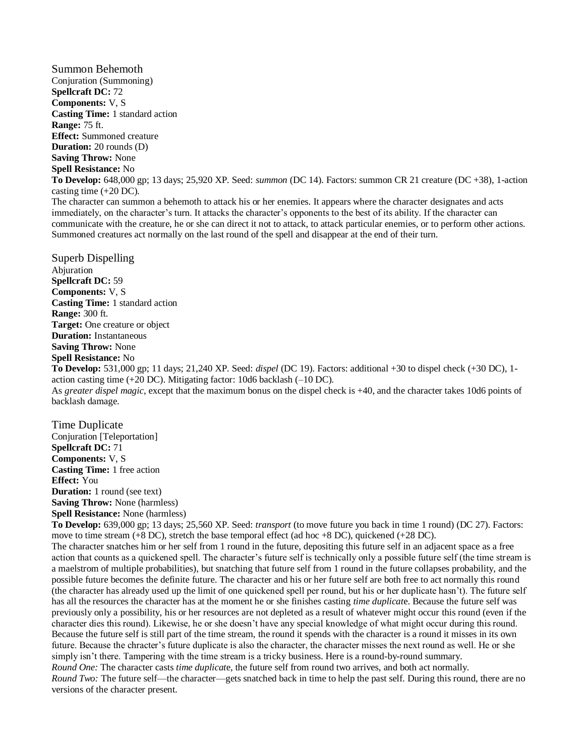Summon Behemoth Conjuration (Summoning) **Spellcraft DC:** 72 **Components:** V, S **Casting Time:** 1 standard action **Range:** 75 ft. **Effect:** Summoned creature **Duration:** 20 rounds (D) **Saving Throw:** None **Spell Resistance:** No **To Develop:** 648,000 gp; 13 days; 25,920 XP. Seed: *summon* (DC 14). Factors: summon CR 21 creature (DC +38), 1-action casting time (+20 DC). The character can summon a behemoth to attack his or her enemies. It appears where the character designates and acts immediately, on the character's turn. It attacks the character's opponents to the best of its ability. If the character can

communicate with the creature, he or she can direct it not to attack, to attack particular enemies, or to perform other actions. Summoned creatures act normally on the last round of the spell and disappear at the end of their turn.

Superb Dispelling Abjuration **Spellcraft DC:** 59 **Components:** V, S **Casting Time:** 1 standard action **Range:** 300 ft. **Target:** One creature or object **Duration:** Instantaneous **Saving Throw:** None **Spell Resistance:** No

**To Develop:** 531,000 gp; 11 days; 21,240 XP. Seed: *dispel* (DC 19). Factors: additional +30 to dispel check (+30 DC), 1 action casting time (+20 DC). Mitigating factor: 10d6 backlash (–10 DC). As *greater dispel magic*, except that the maximum bonus on the dispel check is +40, and the character takes 10d6 points of backlash damage.

Time Duplicate Conjuration [Teleportation] **Spellcraft DC:** 71 **Components:** V, S **Casting Time:** 1 free action **Effect:** You **Duration:** 1 round (see text) **Saving Throw:** None (harmless) **Spell Resistance:** None (harmless)

**To Develop:** 639,000 gp; 13 days; 25,560 XP. Seed: *transport* (to move future you back in time 1 round) (DC 27). Factors: move to time stream (+8 DC), stretch the base temporal effect (ad hoc +8 DC), quickened (+28 DC).

The character snatches him or her self from 1 round in the future, depositing this future self in an adjacent space as a free action that counts as a quickened spell. The character's future self is technically only a possible future self (the time stream is a maelstrom of multiple probabilities), but snatching that future self from 1 round in the future collapses probability, and the possible future becomes the definite future. The character and his or her future self are both free to act normally this round (the character has already used up the limit of one quickened spell per round, but his or her duplicate hasn't). The future self has all the resources the character has at the moment he or she finishes casting *time duplicat*e. Because the future self was previously only a possibility, his or her resources are not depleted as a result of whatever might occur this round (even if the character dies this round). Likewise, he or she doesn't have any special knowledge of what might occur during this round. Because the future self is still part of the time stream, the round it spends with the character is a round it misses in its own future. Because the chracter's future duplicate is also the character, the character misses the next round as well. He or she simply isn't there. Tampering with the time stream is a tricky business. Here is a round-by-round summary. *Round One:* The character casts *time duplicat*e, the future self from round two arrives, and both act normally.

*Round Two:* The future self—the character—gets snatched back in time to help the past self. During this round, there are no versions of the character present.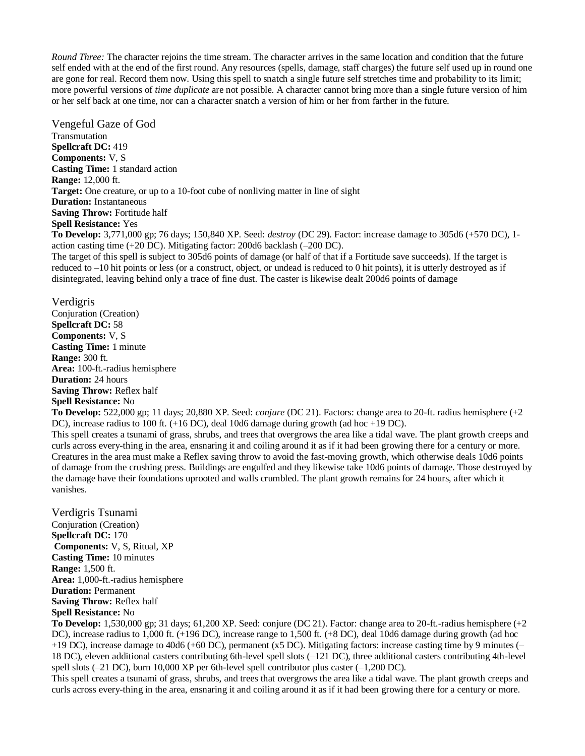*Round Three:* The character rejoins the time stream. The character arrives in the same location and condition that the future self ended with at the end of the first round. Any resources (spells, damage, staff charges) the future self used up in round one are gone for real. Record them now. Using this spell to snatch a single future self stretches time and probability to its limit; more powerful versions of *time duplicate* are not possible. A character cannot bring more than a single future version of him or her self back at one time, nor can a character snatch a version of him or her from farther in the future.

Vengeful Gaze of God Transmutation **Spellcraft DC:** 419 **Components:** V, S **Casting Time:** 1 standard action **Range:** 12,000 ft. **Target:** One creature, or up to a 10-foot cube of nonliving matter in line of sight **Duration:** Instantaneous **Saving Throw:** Fortitude half **Spell Resistance:** Yes **To Develop:** 3,771,000 gp; 76 days; 150,840 XP. Seed: *destroy* (DC 29). Factor: increase damage to 305d6 (+570 DC), 1 action casting time (+20 DC). Mitigating factor: 200d6 backlash (–200 DC).

The target of this spell is subject to 305d6 points of damage (or half of that if a Fortitude save succeeds). If the target is reduced to –10 hit points or less (or a construct, object, or undead is reduced to 0 hit points), it is utterly destroyed as if disintegrated, leaving behind only a trace of fine dust. The caster is likewise dealt 200d6 points of damage

#### Verdigris

Conjuration (Creation) **Spellcraft DC:** 58 **Components:** V, S **Casting Time:** 1 minute **Range:** 300 ft. **Area:** 100-ft.-radius hemisphere **Duration:** 24 hours **Saving Throw:** Reflex half **Spell Resistance:** No

**To Develop:** 522,000 gp; 11 days; 20,880 XP. Seed: *conjure* (DC 21). Factors: change area to 20-ft. radius hemisphere (+2 DC), increase radius to 100 ft. (+16 DC), deal 10d6 damage during growth (ad hoc +19 DC).

This spell creates a tsunami of grass, shrubs, and trees that overgrows the area like a tidal wave. The plant growth creeps and curls across every-thing in the area, ensnaring it and coiling around it as if it had been growing there for a century or more. Creatures in the area must make a Reflex saving throw to avoid the fast-moving growth, which otherwise deals 10d6 points of damage from the crushing press. Buildings are engulfed and they likewise take 10d6 points of damage. Those destroyed by the damage have their foundations uprooted and walls crumbled. The plant growth remains for 24 hours, after which it vanishes.

Verdigris Tsunami Conjuration (Creation) **Spellcraft DC:** 170 **Components:** V, S, Ritual, XP **Casting Time:** 10 minutes **Range:** 1,500 ft. **Area:** 1,000-ft.-radius hemisphere **Duration:** Permanent **Saving Throw:** Reflex half **Spell Resistance:** No

**To Develop:** 1,530,000 gp; 31 days; 61,200 XP. Seed: conjure (DC 21). Factor: change area to 20-ft.-radius hemisphere (+2 DC), increase radius to 1,000 ft. (+196 DC), increase range to 1,500 ft. (+8 DC), deal 10d6 damage during growth (ad hoc +19 DC), increase damage to 40d6 (+60 DC), permanent (x5 DC). Mitigating factors: increase casting time by 9 minutes (– 18 DC), eleven additional casters contributing 6th-level spell slots (–121 DC), three additional casters contributing 4th-level spell slots  $(-21 \text{ DC})$ , burn 10,000 XP per 6th-level spell contributor plus caster  $(-1,200 \text{ DC})$ .

This spell creates a tsunami of grass, shrubs, and trees that overgrows the area like a tidal wave. The plant growth creeps and curls across every-thing in the area, ensnaring it and coiling around it as if it had been growing there for a century or more.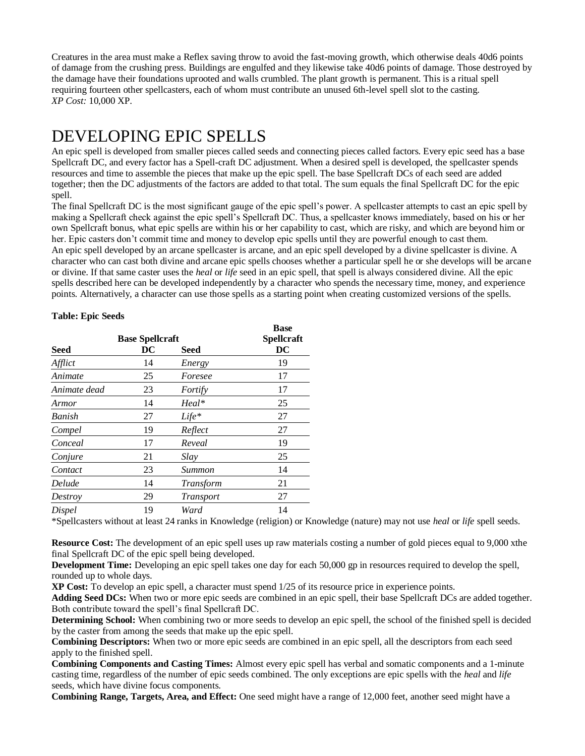Creatures in the area must make a Reflex saving throw to avoid the fast-moving growth, which otherwise deals 40d6 points of damage from the crushing press. Buildings are engulfed and they likewise take 40d6 points of damage. Those destroyed by the damage have their foundations uprooted and walls crumbled. The plant growth is permanent. This is a ritual spell requiring fourteen other spellcasters, each of whom must contribute an unused 6th-level spell slot to the casting. *XP Cost:* 10,000 XP.

# DEVELOPING EPIC SPELLS

An epic spell is developed from smaller pieces called seeds and connecting pieces called factors. Every epic seed has a base Spellcraft DC, and every factor has a Spell-craft DC adjustment. When a desired spell is developed, the spellcaster spends resources and time to assemble the pieces that make up the epic spell. The base Spellcraft DCs of each seed are added together; then the DC adjustments of the factors are added to that total. The sum equals the final Spellcraft DC for the epic spell.

The final Spellcraft DC is the most significant gauge of the epic spell's power. A spellcaster attempts to cast an epic spell by making a Spellcraft check against the epic spell's Spellcraft DC. Thus, a spellcaster knows immediately, based on his or her own Spellcraft bonus, what epic spells are within his or her capability to cast, which are risky, and which are beyond him or her. Epic casters don't commit time and money to develop epic spells until they are powerful enough to cast them. An epic spell developed by an arcane spellcaster is arcane, and an epic spell developed by a divine spellcaster is divine. A character who can cast both divine and arcane epic spells chooses whether a particular spell he or she develops will be arcane or divine. If that same caster uses the *heal* or *life* seed in an epic spell, that spell is always considered divine. All the epic spells described here can be developed independently by a character who spends the necessary time, money, and experience points. Alternatively, a character can use those spells as a starting point when creating customized versions of the spells.

|              |                        |                  | <b>Base</b> |
|--------------|------------------------|------------------|-------------|
|              | <b>Base Spellcraft</b> |                  | Spellcraft  |
| Seed         | DC                     | Seed             | DC          |
| Afflict      | 14                     | Energy           | 19          |
| Animate      | 25                     | Foresee          | 17          |
| Animate dead | 23                     | Fortify          | 17          |
| Armor        | 14                     | Heal*            | 25          |
| Banish       | 27                     | $Life*$          | 27          |
| Compel       | 19                     | Reflect          | 27          |
| Conceal      | 17                     | Reveal           | 19          |
| Conjure      | 21                     | Slay             | 25          |
| Contact      | 23                     | Summon           | 14          |
| Delude       | 14                     | Transform        | 21          |
| Destroy      | 29                     | <i>Transport</i> | 27          |
| Dispel       | 19                     | Ward             | 14          |
|              |                        |                  |             |

#### **Table: Epic Seeds**

\*Spellcasters without at least 24 ranks in Knowledge (religion) or Knowledge (nature) may not use *heal* or *life* spell seeds.

**Resource Cost:** The development of an epic spell uses up raw materials costing a number of gold pieces equal to 9,000 xthe final Spellcraft DC of the epic spell being developed.

**Development Time:** Developing an epic spell takes one day for each 50,000 gp in resources required to develop the spell, rounded up to whole days.

**XP Cost:** To develop an epic spell, a character must spend 1/25 of its resource price in experience points.

**Adding Seed DCs:** When two or more epic seeds are combined in an epic spell, their base Spellcraft DCs are added together. Both contribute toward the spell's final Spellcraft DC.

**Determining School:** When combining two or more seeds to develop an epic spell, the school of the finished spell is decided by the caster from among the seeds that make up the epic spell.

**Combining Descriptors:** When two or more epic seeds are combined in an epic spell, all the descriptors from each seed apply to the finished spell.

**Combining Components and Casting Times:** Almost every epic spell has verbal and somatic components and a 1-minute casting time, regardless of the number of epic seeds combined. The only exceptions are epic spells with the *heal* and *life*  seeds, which have divine focus components.

**Combining Range, Targets, Area, and Effect:** One seed might have a range of 12,000 feet, another seed might have a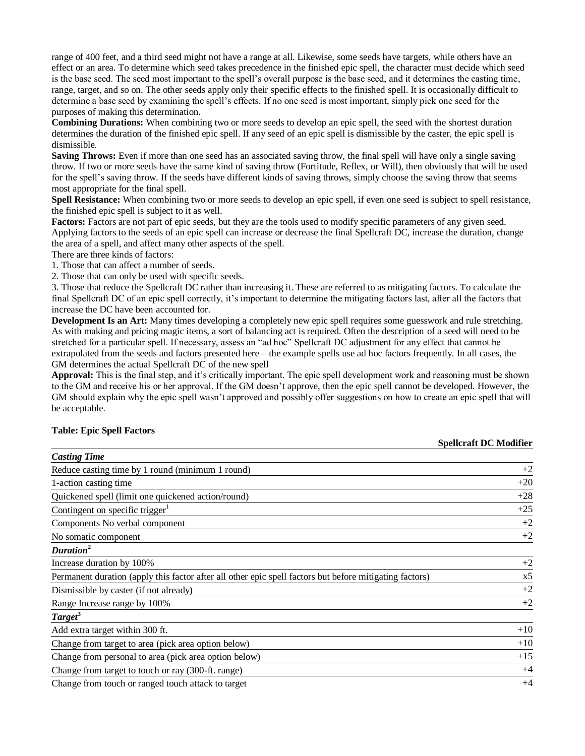range of 400 feet, and a third seed might not have a range at all. Likewise, some seeds have targets, while others have an effect or an area. To determine which seed takes precedence in the finished epic spell, the character must decide which seed is the base seed. The seed most important to the spell's overall purpose is the base seed, and it determines the casting time, range, target, and so on. The other seeds apply only their specific effects to the finished spell. It is occasionally difficult to determine a base seed by examining the spell's effects. If no one seed is most important, simply pick one seed for the purposes of making this determination.

**Combining Durations:** When combining two or more seeds to develop an epic spell, the seed with the shortest duration determines the duration of the finished epic spell. If any seed of an epic spell is dismissible by the caster, the epic spell is dismissible.

**Saving Throws:** Even if more than one seed has an associated saving throw, the final spell will have only a single saving throw. If two or more seeds have the same kind of saving throw (Fortitude, Reflex, or Will), then obviously that will be used for the spell's saving throw. If the seeds have different kinds of saving throws, simply choose the saving throw that seems most appropriate for the final spell.

**Spell Resistance:** When combining two or more seeds to develop an epic spell, if even one seed is subject to spell resistance, the finished epic spell is subject to it as well.

**Factors:** Factors are not part of epic seeds, but they are the tools used to modify specific parameters of any given seed. Applying factors to the seeds of an epic spell can increase or decrease the final Spellcraft DC, increase the duration, change the area of a spell, and affect many other aspects of the spell.

There are three kinds of factors:

1. Those that can affect a number of seeds.

2. Those that can only be used with specific seeds.

3. Those that reduce the Spellcraft DC rather than increasing it. These are referred to as mitigating factors. To calculate the final Spellcraft DC of an epic spell correctly, it's important to determine the mitigating factors last, after all the factors that increase the DC have been accounted for.

**Development Is an Art:** Many times developing a completely new epic spell requires some guesswork and rule stretching. As with making and pricing magic items, a sort of balancing act is required. Often the description of a seed will need to be stretched for a particular spell. If necessary, assess an "ad hoc" Spellcraft DC adjustment for any effect that cannot be extrapolated from the seeds and factors presented here—the example spells use ad hoc factors frequently. In all cases, the GM determines the actual Spellcraft DC of the new spell

**Approval:** This is the final step, and it's critically important. The epic spell development work and reasoning must be shown to the GM and receive his or her approval. If the GM doesn't approve, then the epic spell cannot be developed. However, the GM should explain why the epic spell wasn't approved and possibly offer suggestions on how to create an epic spell that will be acceptable.

#### **Table: Epic Spell Factors**

#### **Spellcraft DC Modifier**

| <b>Casting Time</b>                                                                                     |                |
|---------------------------------------------------------------------------------------------------------|----------------|
| Reduce casting time by 1 round (minimum 1 round)                                                        | $+2$           |
| 1-action casting time                                                                                   | $+20$          |
| Quickened spell (limit one quickened action/round)                                                      | $+28$          |
| Contingent on specific trigger <sup>1</sup>                                                             | $+25$          |
| Components No verbal component                                                                          | $+2$           |
| No somatic component                                                                                    | $+2$           |
| Duration <sup>2</sup>                                                                                   |                |
| Increase duration by 100%                                                                               | $+2$           |
| Permanent duration (apply this factor after all other epic spell factors but before mitigating factors) | x <sub>5</sub> |
| Dismissible by caster (if not already)                                                                  | $+2$           |
| Range Increase range by 100%                                                                            | $+2$           |
| Target <sup>3</sup>                                                                                     |                |
| Add extra target within 300 ft.                                                                         | $+10$          |
| Change from target to area (pick area option below)                                                     | $+10$          |
| Change from personal to area (pick area option below)                                                   | $+15$          |
| Change from target to touch or ray (300-ft. range)                                                      | $+4$           |
| Change from touch or ranged touch attack to target                                                      | $+4$           |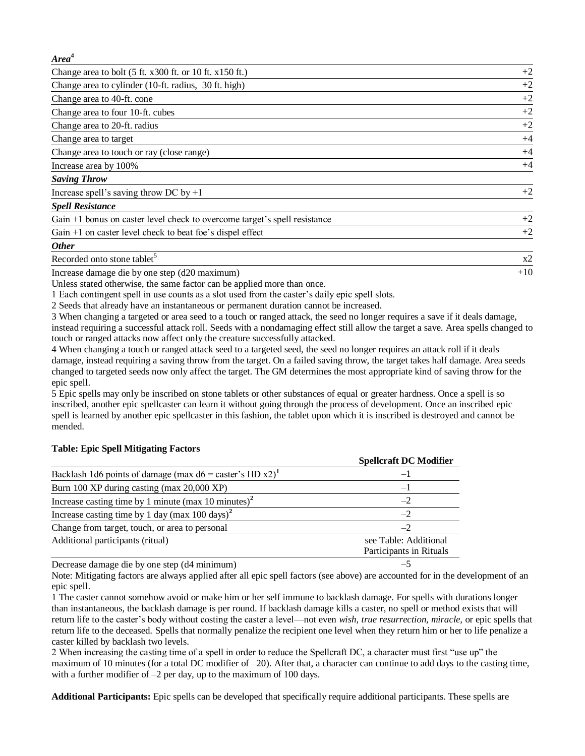#### *Area***<sup>4</sup>**

| Change area to bolt $(5 \text{ ft. } x300 \text{ ft. or } 10 \text{ ft. } x150 \text{ ft.})$ | $+2$ |
|----------------------------------------------------------------------------------------------|------|
| Change area to cylinder (10-ft. radius, 30 ft. high)                                         | $+2$ |
| Change area to 40-ft. cone                                                                   | $+2$ |
| Change area to four 10-ft. cubes                                                             | $+2$ |
| Change area to 20-ft. radius                                                                 | $+2$ |
| Change area to target                                                                        | $+4$ |
| Change area to touch or ray (close range)                                                    | $+4$ |
| Increase area by 100%                                                                        | $+4$ |
| <b>Saving Throw</b>                                                                          |      |
| Increase spell's saving throw DC by $+1$                                                     | $+2$ |
| <b>Spell Resistance</b>                                                                      |      |
| Gain +1 bonus on caster level check to overcome target's spell resistance                    | $+2$ |
| Gain $+1$ on caster level check to beat foe's dispel effect                                  | $+2$ |
| <b>Other</b>                                                                                 |      |

Recorded onto stone tablet<sup>5</sup>

Increase damage die by one step (d20 maximum) +10

Unless stated otherwise, the same factor can be applied more than once.

1 Each contingent spell in use counts as a slot used from the caster's daily epic spell slots.

2 Seeds that already have an instantaneous or permanent duration cannot be increased.

3 When changing a targeted or area seed to a touch or ranged attack, the seed no longer requires a save if it deals damage, instead requiring a successful attack roll. Seeds with a nondamaging effect still allow the target a save. Area spells changed to touch or ranged attacks now affect only the creature successfully attacked.

x2

4 When changing a touch or ranged attack seed to a targeted seed, the seed no longer requires an attack roll if it deals damage, instead requiring a saving throw from the target. On a failed saving throw, the target takes half damage. Area seeds changed to targeted seeds now only affect the target. The GM determines the most appropriate kind of saving throw for the epic spell.

5 Epic spells may only be inscribed on stone tablets or other substances of equal or greater hardness. Once a spell is so inscribed, another epic spellcaster can learn it without going through the process of development. Once an inscribed epic spell is learned by another epic spellcaster in this fashion, the tablet upon which it is inscribed is destroyed and cannot be mended.

|                                                                        | <b>Spellcraft DC Modifier</b>                    |
|------------------------------------------------------------------------|--------------------------------------------------|
| Backlash 1d6 points of damage (max $d6 =$ caster's HD x2) <sup>1</sup> | — I                                              |
| Burn 100 XP during casting (max 20,000 XP)                             | — I                                              |
| Increase casting time by 1 minute (max 10 minutes) <sup>2</sup>        |                                                  |
| Increase casting time by 1 day (max $100 \text{ days}$ ) <sup>2</sup>  | $-2$                                             |
| Change from target, touch, or area to personal                         | $-2$                                             |
| Additional participants (ritual)                                       | see Table: Additional<br>Participants in Rituals |

#### **Table: Epic Spell Mitigating Factors**

Decrease damage die by one step (d4 minimum) –5

Note: Mitigating factors are always applied after all epic spell factors (see above) are accounted for in the development of an epic spell.

1 The caster cannot somehow avoid or make him or her self immune to backlash damage. For spells with durations longer than instantaneous, the backlash damage is per round. If backlash damage kills a caster, no spell or method exists that will return life to the caster's body without costing the caster a level—not even *wish, true resurrection, miracle,* or epic spells that return life to the deceased*.* Spells that normally penalize the recipient one level when they return him or her to life penalize a caster killed by backlash two levels.

2 When increasing the casting time of a spell in order to reduce the Spellcraft DC, a character must first "use up" the maximum of 10 minutes (for a total DC modifier of  $-20$ ). After that, a character can continue to add days to the casting time, with a further modifier of  $-2$  per day, up to the maximum of 100 days.

**Additional Participants:** Epic spells can be developed that specifically require additional participants. These spells are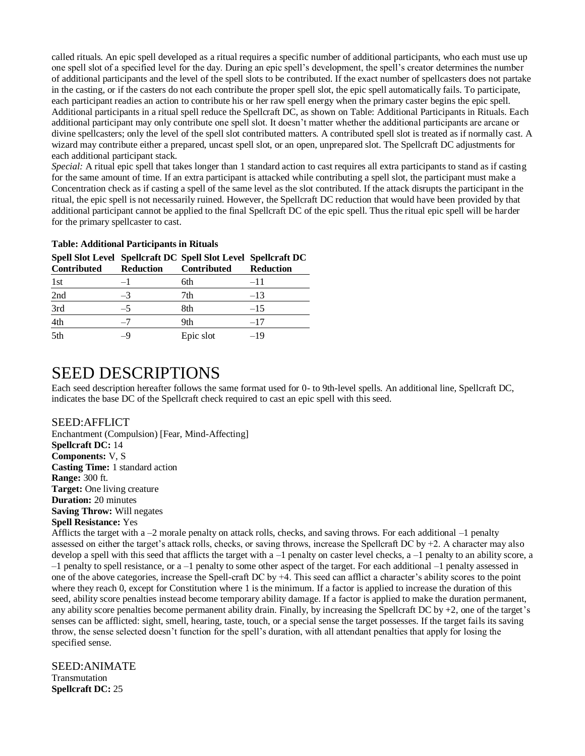called rituals. An epic spell developed as a ritual requires a specific number of additional participants, who each must use up one spell slot of a specified level for the day. During an epic spell's development, the spell's creator determines the number of additional participants and the level of the spell slots to be contributed. If the exact number of spellcasters does not partake in the casting, or if the casters do not each contribute the proper spell slot, the epic spell automatically fails. To participate, each participant readies an action to contribute his or her raw spell energy when the primary caster begins the epic spell. Additional participants in a ritual spell reduce the Spellcraft DC, as shown on Table: Additional Participants in Rituals. Each additional participant may only contribute one spell slot. It doesn't matter whether the additional participants are arcane or divine spellcasters; only the level of the spell slot contributed matters. A contributed spell slot is treated as if normally cast. A wizard may contribute either a prepared, uncast spell slot, or an open, unprepared slot. The Spellcraft DC adjustments for each additional participant stack.

*Special:* A ritual epic spell that takes longer than 1 standard action to cast requires all extra participants to stand as if casting for the same amount of time. If an extra participant is attacked while contributing a spell slot, the participant must make a Concentration check as if casting a spell of the same level as the slot contributed. If the attack disrupts the participant in the ritual, the epic spell is not necessarily ruined. However, the Spellcraft DC reduction that would have been provided by that additional participant cannot be applied to the final Spellcraft DC of the epic spell. Thus the ritual epic spell will be harder for the primary spellcaster to cast.

#### **Table: Additional Participants in Rituals**

| Contributed | <b>Reduction</b> | spen stor Lever spencraft DC spen stor Lever spencraft DC<br>Contributed | <b>Reduction</b> |
|-------------|------------------|--------------------------------------------------------------------------|------------------|
| 1st         |                  | 6th                                                                      | $-11$            |
| 2nd         | $-3$             | 7th                                                                      | $-13$            |
| 3rd         | $-5$             | 8th                                                                      | $-15$            |
| 4th         |                  | 9th                                                                      | $-17$            |
| 5th         | -9               | Epic slot                                                                | -19              |

### **Spell Slot Level Spellcraft DC Spell Slot Level Spellcraft DC**

## SEED DESCRIPTIONS

Each seed description hereafter follows the same format used for 0- to 9th-level spells*.* An additional line, Spellcraft DC, indicates the base DC of the Spellcraft check required to cast an epic spell with this seed.

#### SEED:AFFLICT

Enchantment (Compulsion) [Fear, Mind-Affecting] **Spellcraft DC:** 14 **Components:** V, S **Casting Time:** 1 standard action **Range:** 300 ft. **Target:** One living creature **Duration:** 20 minutes **Saving Throw:** Will negates **Spell Resistance:** Yes

Afflicts the target with a –2 morale penalty on attack rolls, checks, and saving throws. For each additional –1 penalty assessed on either the target's attack rolls, checks, or saving throws, increase the Spellcraft DC by  $+2$ . A character may also develop a spell with this seed that afflicts the target with a –1 penalty on caster level checks, a –1 penalty to an ability score, a –1 penalty to spell resistance, or a –1 penalty to some other aspect of the target. For each additional –1 penalty assessed in one of the above categories, increase the Spell-craft DC by +4. This seed can afflict a character's ability scores to the point where they reach 0, except for Constitution where 1 is the minimum. If a factor is applied to increase the duration of this seed, ability score penalties instead become temporary ability damage. If a factor is applied to make the duration permanent, any ability score penalties become permanent ability drain. Finally, by increasing the Spellcraft DC by  $+2$ , one of the target's senses can be afflicted: sight, smell, hearing, taste, touch, or a special sense the target possesses. If the target fails its saving throw, the sense selected doesn't function for the spell's duration, with all attendant penalties that apply for losing the specified sense.

SEED:ANIMATE Transmutation **Spellcraft DC:** 25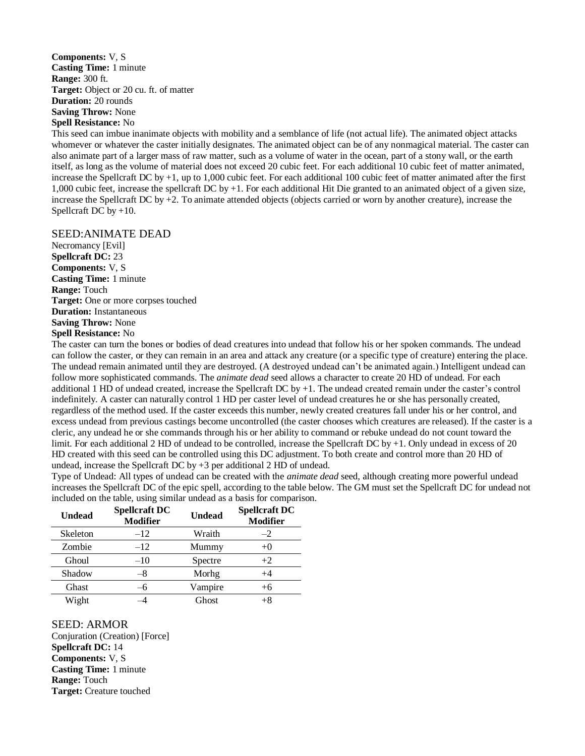**Components:** V, S **Casting Time:** 1 minute **Range:** 300 ft. **Target:** Object or 20 cu. ft. of matter **Duration:** 20 rounds **Saving Throw:** None **Spell Resistance:** No

This seed can imbue inanimate objects with mobility and a semblance of life (not actual life). The animated object attacks whomever or whatever the caster initially designates. The animated object can be of any nonmagical material. The caster can also animate part of a larger mass of raw matter, such as a volume of water in the ocean, part of a stony wall, or the earth itself, as long as the volume of material does not exceed 20 cubic feet. For each additional 10 cubic feet of matter animated, increase the Spellcraft DC by +1, up to 1,000 cubic feet. For each additional 100 cubic feet of matter animated after the first 1,000 cubic feet, increase the spellcraft DC by +1. For each additional Hit Die granted to an animated object of a given size, increase the Spellcraft DC by +2. To animate attended objects (objects carried or worn by another creature), increase the Spellcraft DC by  $+10$ .

#### SEED:ANIMATE DEAD

Necromancy [Evil] **Spellcraft DC:** 23 **Components:** V, S **Casting Time:** 1 minute **Range:** Touch **Target:** One or more corpses touched **Duration:** Instantaneous **Saving Throw:** None **Spell Resistance:** No

The caster can turn the bones or bodies of dead creatures into undead that follow his or her spoken commands. The undead can follow the caster, or they can remain in an area and attack any creature (or a specific type of creature) entering the place. The undead remain animated until they are destroyed. (A destroyed undead can't be animated again.) Intelligent undead can follow more sophisticated commands. The *animate dead* seed allows a character to create 20 HD of undead. For each additional 1 HD of undead created, increase the Spellcraft DC by +1. The undead created remain under the caster's control indefinitely. A caster can naturally control 1 HD per caster level of undead creatures he or she has personally created, regardless of the method used. If the caster exceeds this number, newly created creatures fall under his or her control, and excess undead from previous castings become uncontrolled (the caster chooses which creatures are released). If the caster is a cleric, any undead he or she commands through his or her ability to command or rebuke undead do not count toward the limit. For each additional 2 HD of undead to be controlled, increase the Spellcraft DC by +1. Only undead in excess of 20 HD created with this seed can be controlled using this DC adjustment. To both create and control more than 20 HD of undead, increase the Spellcraft DC by +3 per additional 2 HD of undead.

Type of Undead: All types of undead can be created with the *animate dead* seed, although creating more powerful undead increases the Spellcraft DC of the epic spell, according to the table below. The GM must set the Spellcraft DC for undead not included on the table, using similar undead as a basis for comparison.

| <b>Undead</b> | <b>Spellcraft DC</b><br><b>Modifier</b> | <b>Undead</b> | <b>Spellcraft DC</b><br><b>Modifier</b> |
|---------------|-----------------------------------------|---------------|-----------------------------------------|
| Skeleton      | $-12$                                   | Wraith        | $-2$                                    |
| Zombie        | $-12$                                   | Mummy         | $+()$                                   |
| Ghoul         | $-10$                                   | Spectre       | $+2$                                    |
| Shadow        |                                         | Morhg         | +4                                      |
| <b>Ghast</b>  |                                         | Vampire       | $+6$                                    |
| Wight         |                                         | Ghost         |                                         |

SEED: ARMOR Conjuration (Creation) [Force] **Spellcraft DC:** 14 **Components:** V, S **Casting Time:** 1 minute **Range:** Touch **Target:** Creature touched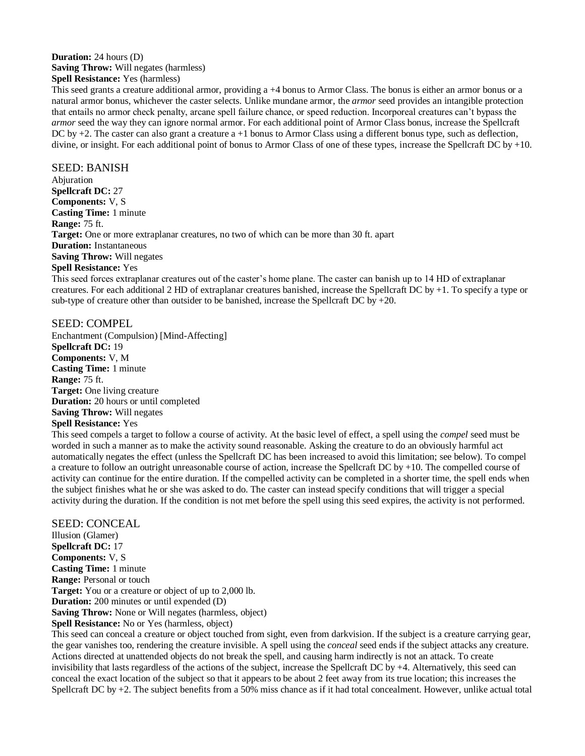## **Duration:** 24 hours (D) **Saving Throw:** Will negates (harmless)

**Spell Resistance:** Yes (harmless)

This seed grants a creature additional armor, providing a +4 bonus to Armor Class. The bonus is either an armor bonus or a natural armor bonus, whichever the caster selects. Unlike mundane armor, the *armor* seed provides an intangible protection that entails no armor check penalty, arcane spell failure chance, or speed reduction. Incorporeal creatures can't bypass the *armor* seed the way they can ignore normal armor. For each additional point of Armor Class bonus, increase the Spellcraft DC by  $+2$ . The caster can also grant a creature  $a + 1$  bonus to Armor Class using a different bonus type, such as deflection, divine, or insight. For each additional point of bonus to Armor Class of one of these types, increase the Spellcraft DC by +10.

SEED: BANISH Abjuration **Spellcraft DC:** 27 **Components:** V, S **Casting Time:** 1 minute **Range:** 75 ft. **Target:** One or more extraplanar creatures, no two of which can be more than 30 ft. apart **Duration:** Instantaneous **Saving Throw:** Will negates **Spell Resistance:** Yes

This seed forces extraplanar creatures out of the caster's home plane. The caster can banish up to 14 HD of extraplanar creatures. For each additional 2 HD of extraplanar creatures banished, increase the Spellcraft DC by +1. To specify a type or sub-type of creature other than outsider to be banished, increase the Spellcraft DC by  $+20$ .

SEED: COMPEL Enchantment (Compulsion) [Mind-Affecting] **Spellcraft DC:** 19 **Components:** V, M **Casting Time:** 1 minute **Range:** 75 ft. **Target:** One living creature **Duration:** 20 hours or until completed **Saving Throw:** Will negates **Spell Resistance:** Yes

#### This seed compels a target to follow a course of activity. At the basic level of effect, a spell using the *compel* seed must be worded in such a manner as to make the activity sound reasonable. Asking the creature to do an obviously harmful act automatically negates the effect (unless the Spellcraft DC has been increased to avoid this limitation; see below). To compel a creature to follow an outright unreasonable course of action, increase the Spellcraft DC by +10. The compelled course of activity can continue for the entire duration. If the compelled activity can be completed in a shorter time, the spell ends when the subject finishes what he or she was asked to do. The caster can instead specify conditions that will trigger a special activity during the duration. If the condition is not met before the spell using this seed expires, the activity is not performed.

SEED: CONCEAL Illusion (Glamer) **Spellcraft DC:** 17 **Components:** V, S **Casting Time:** 1 minute **Range:** Personal or touch **Target:** You or a creature or object of up to 2,000 lb. **Duration:** 200 minutes or until expended (D) **Saving Throw:** None or Will negates (harmless, object) **Spell Resistance:** No or Yes (harmless, object)

This seed can conceal a creature or object touched from sight, even from darkvision. If the subject is a creature carrying gear, the gear vanishes too, rendering the creature invisible. A spell using the *conceal* seed ends if the subject attacks any creature. Actions directed at unattended objects do not break the spell, and causing harm indirectly is not an attack. To create invisibility that lasts regardless of the actions of the subject, increase the Spellcraft DC by +4. Alternatively, this seed can conceal the exact location of the subject so that it appears to be about 2 feet away from its true location; this increases the Spellcraft DC by +2. The subject benefits from a 50% miss chance as if it had total concealment. However, unlike actual total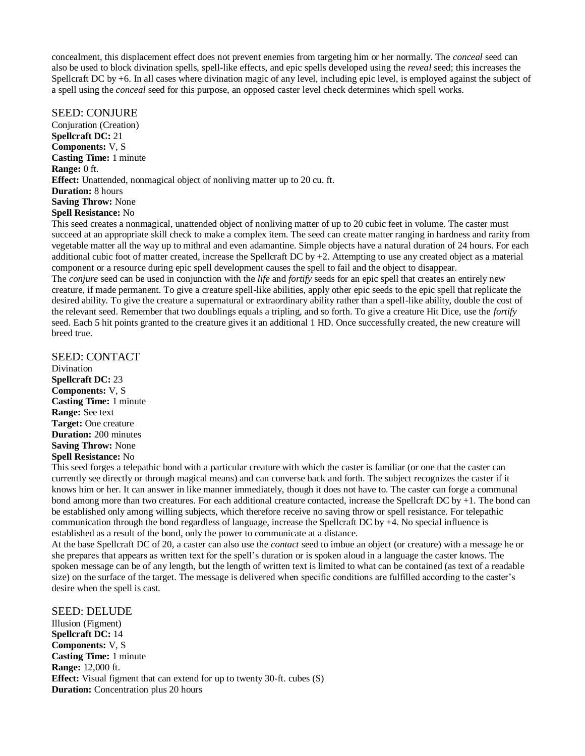concealment, this displacement effect does not prevent enemies from targeting him or her normally. The *conceal* seed can also be used to block divination spells, spell-like effects, and epic spells developed using the *reveal* seed; this increases the Spellcraft DC by +6. In all cases where divination magic of any level, including epic level, is employed against the subject of a spell using the *conceal* seed for this purpose, an opposed caster level check determines which spell works.

#### SEED: CONJURE

Conjuration (Creation) **Spellcraft DC:** 21 **Components:** V, S **Casting Time:** 1 minute **Range:** 0 ft. **Effect:** Unattended, nonmagical object of nonliving matter up to 20 cu. ft. **Duration:** 8 hours **Saving Throw:** None **Spell Resistance:** No

This seed creates a nonmagical, unattended object of nonliving matter of up to 20 cubic feet in volume. The caster must succeed at an appropriate skill check to make a complex item. The seed can create matter ranging in hardness and rarity from vegetable matter all the way up to mithral and even adamantine. Simple objects have a natural duration of 24 hours. For each additional cubic foot of matter created, increase the Spellcraft DC by  $+2$ . Attempting to use any created object as a material component or a resource during epic spell development causes the spell to fail and the object to disappear.

The *conjure* seed can be used in conjunction with the *life* and *fortify* seeds for an epic spell that creates an entirely new creature, if made permanent. To give a creature spell-like abilities, apply other epic seeds to the epic spell that replicate the desired ability. To give the creature a supernatural or extraordinary ability rather than a spell-like ability, double the cost of the relevant seed. Remember that two doublings equals a tripling, and so forth. To give a creature Hit Dice, use the *fortify*  seed. Each 5 hit points granted to the creature gives it an additional 1 HD. Once successfully created, the new creature will breed true.

## SEED: CONTACT

Divination **Spellcraft DC:** 23 **Components:** V, S **Casting Time:** 1 minute **Range:** See text **Target:** One creature **Duration:** 200 minutes **Saving Throw:** None **Spell Resistance:** No

This seed forges a telepathic bond with a particular creature with which the caster is familiar (or one that the caster can currently see directly or through magical means) and can converse back and forth. The subject recognizes the caster if it knows him or her. It can answer in like manner immediately, though it does not have to. The caster can forge a communal bond among more than two creatures. For each additional creature contacted, increase the Spellcraft DC by +1. The bond can be established only among willing subjects, which therefore receive no saving throw or spell resistance. For telepathic communication through the bond regardless of language, increase the Spellcraft DC by +4. No special influence is established as a result of the bond, only the power to communicate at a distance.

At the base Spellcraft DC of 20, a caster can also use the *contact* seed to imbue an object (or creature) with a message he or she prepares that appears as written text for the spell's duration or is spoken aloud in a language the caster knows. The spoken message can be of any length, but the length of written text is limited to what can be contained (as text of a readable size) on the surface of the target. The message is delivered when specific conditions are fulfilled according to the caster's desire when the spell is cast.

### SEED: DELUDE

Illusion (Figment) **Spellcraft DC:** 14 **Components:** V, S **Casting Time:** 1 minute **Range:** 12,000 ft. **Effect:** Visual figment that can extend for up to twenty 30-ft. cubes (S) **Duration:** Concentration plus 20 hours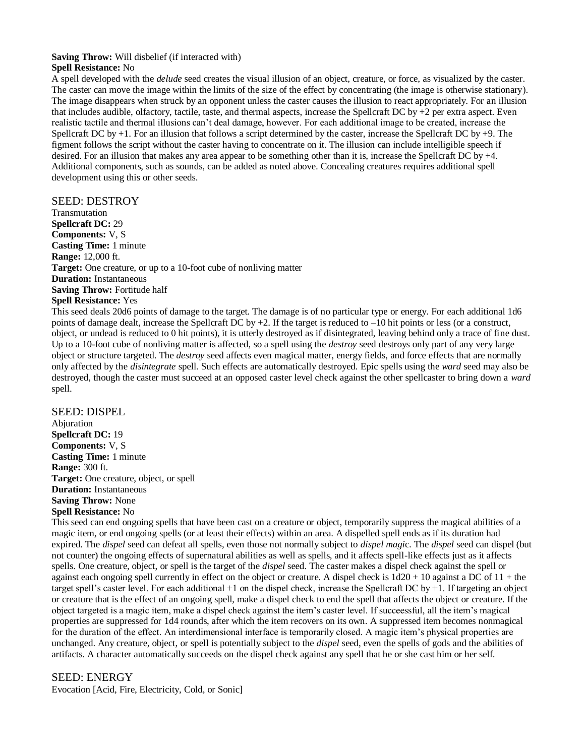## **Saving Throw:** Will disbelief (if interacted with)

## **Spell Resistance:** No

A spell developed with the *delude* seed creates the visual illusion of an object, creature, or force, as visualized by the caster. The caster can move the image within the limits of the size of the effect by concentrating (the image is otherwise stationary). The image disappears when struck by an opponent unless the caster causes the illusion to react appropriately. For an illusion that includes audible, olfactory, tactile, taste, and thermal aspects, increase the Spellcraft DC by  $+2$  per extra aspect. Even realistic tactile and thermal illusions can't deal damage, however. For each additional image to be created, increase the Spellcraft DC by +1. For an illusion that follows a script determined by the caster, increase the Spellcraft DC by +9. The figment follows the script without the caster having to concentrate on it. The illusion can include intelligible speech if desired. For an illusion that makes any area appear to be something other than it is, increase the Spellcraft DC by  $+4$ . Additional components, such as sounds, can be added as noted above. Concealing creatures requires additional spell development using this or other seeds.

## SEED: DESTROY

Transmutation **Spellcraft DC:** 29 **Components:** V, S **Casting Time:** 1 minute **Range:** 12,000 ft. **Target:** One creature, or up to a 10-foot cube of nonliving matter **Duration:** Instantaneous **Saving Throw:** Fortitude half **Spell Resistance:** Yes

This seed deals 20d6 points of damage to the target. The damage is of no particular type or energy. For each additional 1d6 points of damage dealt, increase the Spellcraft DC by  $+2$ . If the target is reduced to  $-10$  hit points or less (or a construct, object, or undead is reduced to 0 hit points), it is utterly destroyed as if disintegrated, leaving behind only a trace of fine dust. Up to a 10-foot cube of nonliving matter is affected, so a spell using the *destroy* seed destroys only part of any very large object or structure targeted. The *destroy* seed affects even magical matter, energy fields, and force effects that are normally only affected by the *disintegrate* spell*.* Such effects are automatically destroyed. Epic spells using the *ward* seed may also be destroyed, though the caster must succeed at an opposed caster level check against the other spellcaster to bring down a *ward*  spell.

SEED: DISPEL Abjuration **Spellcraft DC:** 19 **Components:** V, S **Casting Time:** 1 minute **Range:** 300 ft. **Target:** One creature, object, or spell **Duration:** Instantaneous **Saving Throw:** None **Spell Resistance:** No

This seed can end ongoing spells that have been cast on a creature or object, temporarily suppress the magical abilities of a magic item, or end ongoing spells (or at least their effects) within an area. A dispelled spell ends as if its duration had expired. The *dispel* seed can defeat all spells, even those not normally subject to *dispel magi*c. The *dispel* seed can dispel (but not counter) the ongoing effects of supernatural abilities as well as spells, and it affects spell-like effects just as it affects spells. One creature, object, or spell is the target of the *dispel* seed. The caster makes a dispel check against the spell or against each ongoing spell currently in effect on the object or creature. A dispel check is  $1d20 + 10$  against a DC of  $11 +$  the target spell's caster level. For each additional +1 on the dispel check, increase the Spellcraft DC by +1. If targeting an object or creature that is the effect of an ongoing spell, make a dispel check to end the spell that affects the object or creature. If the object targeted is a magic item, make a dispel check against the item's caster level. If succeessful, all the item's magical properties are suppressed for 1d4 rounds, after which the item recovers on its own. A suppressed item becomes nonmagical for the duration of the effect. An interdimensional interface is temporarily closed. A magic item's physical properties are unchanged. Any creature, object, or spell is potentially subject to the *dispel* seed, even the spells of gods and the abilities of artifacts. A character automatically succeeds on the dispel check against any spell that he or she cast him or her self.

## SEED: ENERGY

Evocation [Acid, Fire, Electricity, Cold, or Sonic]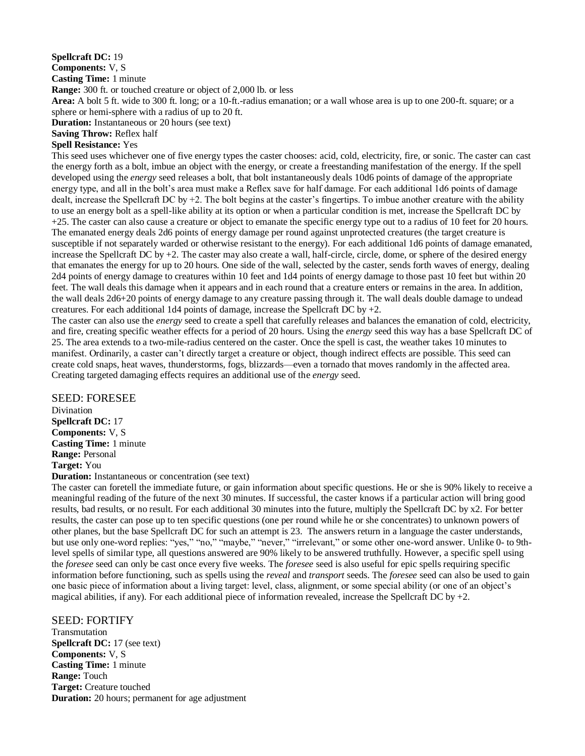#### **Spellcraft DC:** 19 **Components:** V, S **Casting Time:** 1 minute **Range:** 300 ft. or touched creature or object of 2,000 lb. or less **Area:** A bolt 5 ft. wide to 300 ft. long; or a 10-ft.-radius emanation; or a wall whose area is up to one 200-ft. square; or a sphere or hemi-sphere with a radius of up to 20 ft. **Duration:** Instantaneous or 20 hours (see text)

**Saving Throw:** Reflex half

## **Spell Resistance:** Yes

This seed uses whichever one of five energy types the caster chooses: acid, cold, electricity, fire, or sonic. The caster can cast the energy forth as a bolt, imbue an object with the energy, or create a freestanding manifestation of the energy. If the spell developed using the *energy* seed releases a bolt, that bolt instantaneously deals 10d6 points of damage of the appropriate energy type, and all in the bolt's area must make a Reflex save for half damage. For each additional 1d6 points of damage dealt, increase the Spellcraft DC by +2. The bolt begins at the caster's fingertips. To imbue another creature with the ability to use an energy bolt as a spell-like ability at its option or when a particular condition is met, increase the Spellcraft DC by +25. The caster can also cause a creature or object to emanate the specific energy type out to a radius of 10 feet for 20 hours. The emanated energy deals 2d6 points of energy damage per round against unprotected creatures (the target creature is susceptible if not separately warded or otherwise resistant to the energy). For each additional 1d6 points of damage emanated, increase the Spellcraft DC by +2. The caster may also create a wall, half-circle, circle, dome, or sphere of the desired energy that emanates the energy for up to 20 hours. One side of the wall, selected by the caster, sends forth waves of energy, dealing 2d4 points of energy damage to creatures within 10 feet and 1d4 points of energy damage to those past 10 feet but within 20 feet. The wall deals this damage when it appears and in each round that a creature enters or remains in the area. In addition, the wall deals 2d6+20 points of energy damage to any creature passing through it. The wall deals double damage to undead creatures. For each additional 1d4 points of damage, increase the Spellcraft DC by  $+2$ .

The caster can also use the *energy* seed to create a spell that carefully releases and balances the emanation of cold, electricity, and fire, creating specific weather effects for a period of 20 hours. Using the *energy* seed this way has a base Spellcraft DC of 25. The area extends to a two-mile-radius centered on the caster. Once the spell is cast, the weather takes 10 minutes to manifest. Ordinarily, a caster can't directly target a creature or object, though indirect effects are possible. This seed can create cold snaps, heat waves, thunderstorms, fogs, blizzards—even a tornado that moves randomly in the affected area. Creating targeted damaging effects requires an additional use of the *energy* seed.

SEED: FORESEE Divination **Spellcraft DC:** 17 **Components:** V, S **Casting Time:** 1 minute **Range:** Personal **Target:** You

**Duration:** Instantaneous or concentration (see text)

The caster can foretell the immediate future, or gain information about specific questions. He or she is 90% likely to receive a meaningful reading of the future of the next 30 minutes. If successful, the caster knows if a particular action will bring good results, bad results, or no result. For each additional 30 minutes into the future, multiply the Spellcraft DC by x2. For better results, the caster can pose up to ten specific questions (one per round while he or she concentrates) to unknown powers of other planes, but the base Spellcraft DC for such an attempt is 23. The answers return in a language the caster understands, but use only one-word replies: "yes," "no," "maybe," "never," "irrelevant," or some other one-word answer. Unlike 0- to 9thlevel spells of similar type, all questions answered are 90% likely to be answered truthfully. However, a specific spell using the *foresee* seed can only be cast once every five weeks. The *foresee* seed is also useful for epic spells requiring specific information before functioning, such as spells using the *reveal* and *transport* seeds. The *foresee* seed can also be used to gain one basic piece of information about a living target: level, class, alignment, or some special ability (or one of an object's magical abilities, if any). For each additional piece of information revealed, increase the Spellcraft DC by  $+2$ .

## SEED: FORTIFY

Transmutation **Spellcraft DC:** 17 (see text) **Components:** V, S **Casting Time:** 1 minute **Range:** Touch **Target:** Creature touched **Duration:** 20 hours; permanent for age adjustment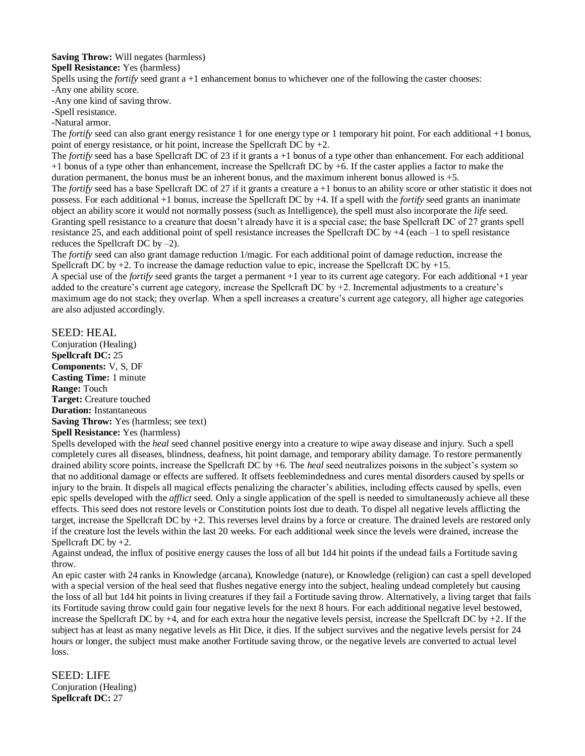**Saving Throw:** Will negates (harmless)

**Spell Resistance:** Yes (harmless)

Spells using the *fortify* seed grant a +1 enhancement bonus to whichever one of the following the caster chooses:

-Any one ability score.

-Any one kind of saving throw.

-Spell resistance.

-Natural armor.

The *fortify* seed can also grant energy resistance 1 for one energy type or 1 temporary hit point. For each additional +1 bonus, point of energy resistance, or hit point, increase the Spellcraft DC by  $+2$ .

The *fortify* seed has a base Spellcraft DC of 23 if it grants a +1 bonus of a type other than enhancement. For each additional +1 bonus of a type other than enhancement, increase the Spellcraft DC by +6. If the caster applies a factor to make the duration permanent, the bonus must be an inherent bonus, and the maximum inherent bonus allowed is +5.

The *fortify* seed has a base Spellcraft DC of 27 if it grants a creature  $a + 1$  bonus to an ability score or other statistic it does not possess. For each additional +1 bonus, increase the Spellcraft DC by +4. If a spell with the *fortify* seed grants an inanimate object an ability score it would not normally possess (such as Intelligence), the spell must also incorporate the *life* seed. Granting spell resistance to a creature that doesn't already have it is a special case; the base Spellcraft DC of 27 grants spell resistance 25, and each additional point of spell resistance increases the Spellcraft DC by +4 (each –1 to spell resistance reduces the Spellcraft DC by –2).

The *fortify* seed can also grant damage reduction 1/magic. For each additional point of damage reduction, increase the Spellcraft DC by +2. To increase the damage reduction value to epic, increase the Spellcraft DC by +15.

A special use of the *fortify* seed grants the target a permanent +1 year to its current age category. For each additional +1 year added to the creature's current age category, increase the Spellcraft DC by  $+2$ . Incremental adjustments to a creature's maximum age do not stack; they overlap. When a spell increases a creature's current age category, all higher age categories are also adjusted accordingly.

## SEED: HEAL

Conjuration (Healing) **Spellcraft DC:** 25 **Components:** V, S, DF **Casting Time:** 1 minute **Range:** Touch **Target:** Creature touched **Duration:** Instantaneous **Saving Throw:** Yes (harmless; see text) **Spell Resistance:** Yes (harmless)

Spells developed with the *heal* seed channel positive energy into a creature to wipe away disease and injury. Such a spell completely cures all diseases, blindness, deafness, hit point damage, and temporary ability damage. To restore permanently drained ability score points, increase the Spellcraft DC by +6. The *heal* seed neutralizes poisons in the subject's system so that no additional damage or effects are suffered. It offsets feeblemindedness and cures mental disorders caused by spells or injury to the brain. It dispels all magical effects penalizing the character's abilities, including effects caused by spells, even epic spells developed with the *afflict* seed. Only a single application of the spell is needed to simultaneously achieve all these effects. This seed does not restore levels or Constitution points lost due to death. To dispel all negative levels afflicting the target, increase the Spellcraft DC by +2. This reverses level drains by a force or creature. The drained levels are restored only if the creature lost the levels within the last 20 weeks. For each additional week since the levels were drained, increase the Spellcraft DC by  $+2$ .

Against undead, the influx of positive energy causes the loss of all but 1d4 hit points if the undead fails a Fortitude saving throw.

An epic caster with 24 ranks in Knowledge (arcana), Knowledge (nature), or Knowledge (religion) can cast a spell developed with a special version of the heal seed that flushes negative energy into the subject, healing undead completely but causing the loss of all but 1d4 hit points in living creatures if they fail a Fortitude saving throw. Alternatively, a living target that fails its Fortitude saving throw could gain four negative levels for the next 8 hours. For each additional negative level bestowed, increase the Spellcraft DC by +4, and for each extra hour the negative levels persist, increase the Spellcraft DC by +2. If the subject has at least as many negative levels as Hit Dice, it dies. If the subject survives and the negative levels persist for 24 hours or longer, the subject must make another Fortitude saving throw, or the negative levels are converted to actual level loss.

SEED: LIFE Conjuration (Healing) **Spellcraft DC:** 27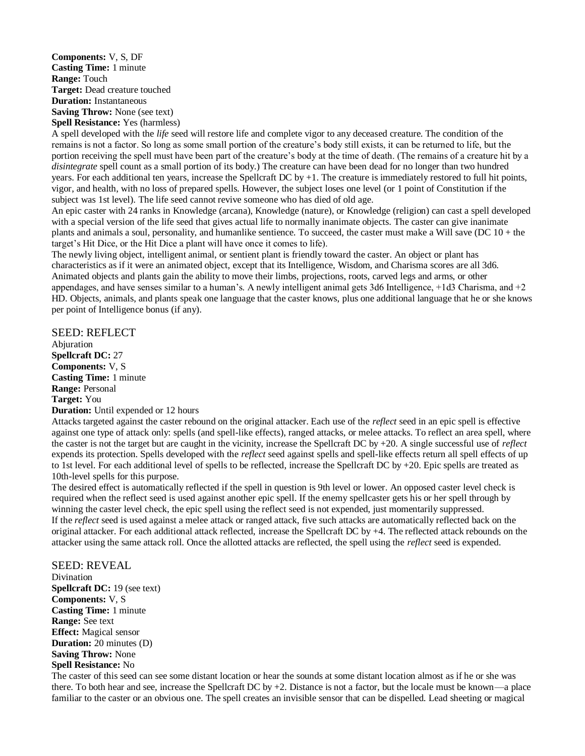**Components:** V, S, DF **Casting Time:** 1 minute **Range:** Touch **Target:** Dead creature touched **Duration:** Instantaneous **Saving Throw:** None (see text) **Spell Resistance:** Yes (harmless)

A spell developed with the *life* seed will restore life and complete vigor to any deceased creature. The condition of the remains is not a factor. So long as some small portion of the creature's body still exists, it can be returned to life, but the portion receiving the spell must have been part of the creature's body at the time of death. (The remains of a creature hit by a *disintegrate* spell count as a small portion of its body.) The creature can have been dead for no longer than two hundred years. For each additional ten years, increase the Spellcraft DC by +1. The creature is immediately restored to full hit points, vigor, and health, with no loss of prepared spells. However, the subject loses one level (or 1 point of Constitution if the subject was 1st level). The life seed cannot revive someone who has died of old age.

An epic caster with 24 ranks in Knowledge (arcana), Knowledge (nature), or Knowledge (religion) can cast a spell developed with a special version of the life seed that gives actual life to normally inanimate objects. The caster can give inanimate plants and animals a soul, personality, and humanlike sentience. To succeed, the caster must make a Will save (DC  $10 +$  the target's Hit Dice, or the Hit Dice a plant will have once it comes to life).

The newly living object, intelligent animal, or sentient plant is friendly toward the caster. An object or plant has characteristics as if it were an animated object, except that its Intelligence, Wisdom, and Charisma scores are all 3d6. Animated objects and plants gain the ability to move their limbs, projections, roots, carved legs and arms, or other appendages, and have senses similar to a human's. A newly intelligent animal gets 3d6 Intelligence, +1d3 Charisma, and +2 HD. Objects, animals, and plants speak one language that the caster knows, plus one additional language that he or she knows per point of Intelligence bonus (if any).

SEED: REFLECT Abjuration **Spellcraft DC:** 27 **Components:** V, S **Casting Time:** 1 minute **Range:** Personal **Target:** You **Duration:** Until expended or 12 hours

Attacks targeted against the caster rebound on the original attacker. Each use of the *reflect* seed in an epic spell is effective against one type of attack only: spells (and spell-like effects), ranged attacks, or melee attacks. To reflect an area spell, where the caster is not the target but are caught in the vicinity, increase the Spellcraft DC by +20. A single successful use of *reflect*  expends its protection. Spells developed with the *reflect* seed against spells and spell-like effects return all spell effects of up to 1st level. For each additional level of spells to be reflected, increase the Spellcraft DC by  $+20$ . Epic spells are treated as 10th-level spells for this purpose.

The desired effect is automatically reflected if the spell in question is 9th level or lower. An opposed caster level check is required when the reflect seed is used against another epic spell. If the enemy spellcaster gets his or her spell through by winning the caster level check, the epic spell using the reflect seed is not expended, just momentarily suppressed. If the *reflect* seed is used against a melee attack or ranged attack, five such attacks are automatically reflected back on the original attacker. For each additional attack reflected, increase the Spellcraft DC by +4. The reflected attack rebounds on the attacker using the same attack roll. Once the allotted attacks are reflected, the spell using the *reflect* seed is expended.

#### SEED: REVEAL

Divination **Spellcraft DC:** 19 (see text) **Components:** V, S **Casting Time:** 1 minute **Range:** See text **Effect:** Magical sensor **Duration:** 20 minutes (D) **Saving Throw:** None **Spell Resistance:** No

The caster of this seed can see some distant location or hear the sounds at some distant location almost as if he or she was there. To both hear and see, increase the Spellcraft DC by +2. Distance is not a factor, but the locale must be known—a place familiar to the caster or an obvious one. The spell creates an invisible sensor that can be dispelled. Lead sheeting or magical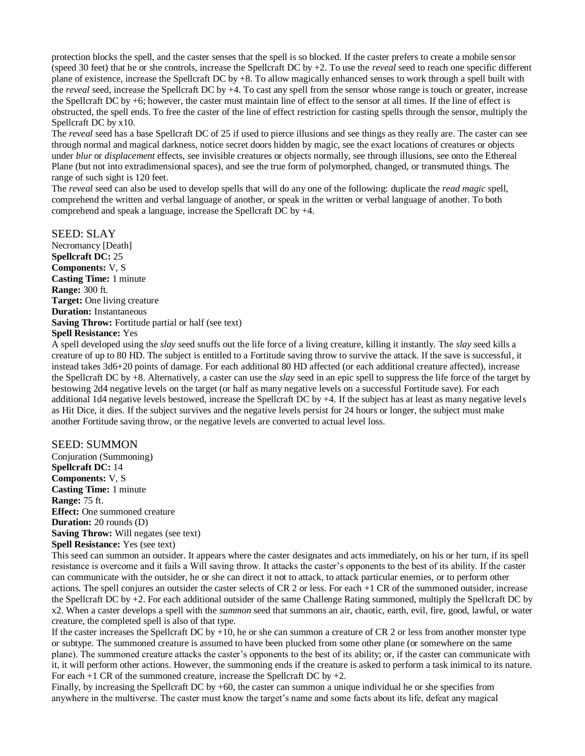protection blocks the spell, and the caster senses that the spell is so blocked. If the caster prefers to create a mobile sensor (speed 30 feet) that he or she controls, increase the Spellcraft DC by +2. To use the *reveal* seed to reach one specific different plane of existence, increase the Spellcraft DC by +8. To allow magically enhanced senses to work through a spell built with the *reveal* seed, increase the Spellcraft DC by +4. To cast any spell from the sensor whose range is touch or greater, increase the Spellcraft DC by +6; however, the caster must maintain line of effect to the sensor at all times. If the line of effect is obstructed, the spell ends. To free the caster of the line of effect restriction for casting spells through the sensor, multiply the Spellcraft DC by x10.

The *reveal* seed has a base Spellcraft DC of 25 if used to pierce illusions and see things as they really are. The caster can see through normal and magical darkness, notice secret doors hidden by magic, see the exact locations of creatures or objects under *blur* or *displacement* effects, see invisible creatures or objects normally, see through illusions, see onto the Ethereal Plane (but not into extradimensional spaces), and see the true form of polymorphed, changed, or transmuted things. The range of such sight is 120 feet.

The *reveal* seed can also be used to develop spells that will do any one of the following: duplicate the *read magic* spell, comprehend the written and verbal language of another, or speak in the written or verbal language of another. To both comprehend and speak a language, increase the Spellcraft DC by +4.

SEED: SLAY

Necromancy [Death] **Spellcraft DC:** 25 **Components:** V, S **Casting Time:** 1 minute **Range:** 300 ft. **Target:** One living creature **Duration:** Instantaneous **Saving Throw:** Fortitude partial or half (see text) **Spell Resistance:** Yes

A spell developed using the *slay* seed snuffs out the life force of a living creature, killing it instantly. The *slay* seed kills a creature of up to 80 HD. The subject is entitled to a Fortitude saving throw to survive the attack. If the save is successful, it instead takes 3d6+20 points of damage. For each additional 80 HD affected (or each additional creature affected), increase the Spellcraft DC by +8. Alternatively, a caster can use the *slay* seed in an epic spell to suppress the life force of the target by bestowing 2d4 negative levels on the target (or half as many negative levels on a successful Fortitude save). For each additional 1d4 negative levels bestowed, increase the Spellcraft DC by +4. If the subject has at least as many negative levels as Hit Dice, it dies. If the subject survives and the negative levels persist for 24 hours or longer, the subject must make another Fortitude saving throw, or the negative levels are converted to actual level loss.

#### SEED: SUMMON

Conjuration (Summoning) **Spellcraft DC:** 14 **Components:** V, S **Casting Time:** 1 minute **Range:** 75 ft. **Effect:** One summoned creature **Duration:** 20 rounds (D) **Saving Throw:** Will negates (see text) **Spell Resistance:** Yes (see text)

This seed can summon an outsider. It appears where the caster designates and acts immediately, on his or her turn, if its spell resistance is overcome and it fails a Will saving throw. It attacks the caster's opponents to the best of its ability. If the caster can communicate with the outsider, he or she can direct it not to attack, to attack particular enemies, or to perform other actions. The spell conjures an outsider the caster selects of CR 2 or less. For each +1 CR of the summoned outsider, increase the Spellcraft DC by +2. For each additional outsider of the same Challenge Rating summoned, multiply the Spellcraft DC by x2. When a caster develops a spell with the *summon* seed that summons an air, chaotic, earth, evil, fire, good, lawful, or water creature, the completed spell is also of that type.

If the caster increases the Spellcraft DC by  $+10$ , he or she can summon a creature of CR 2 or less from another monster type or subtype. The summoned creature is assumed to have been plucked from some other plane (or somewhere on the same plane). The summoned creature attacks the caster's opponents to the best of its ability; or, if the caster can communicate with it, it will perform other actions. However, the summoning ends if the creature is asked to perform a task inimical to its nature. For each  $+1$  CR of the summoned creature, increase the Spellcraft DC by  $+2$ .

Finally, by increasing the Spellcraft DC by +60, the caster can summon a unique individual he or she specifies from anywhere in the multiverse. The caster must know the target's name and some facts about its life, defeat any magical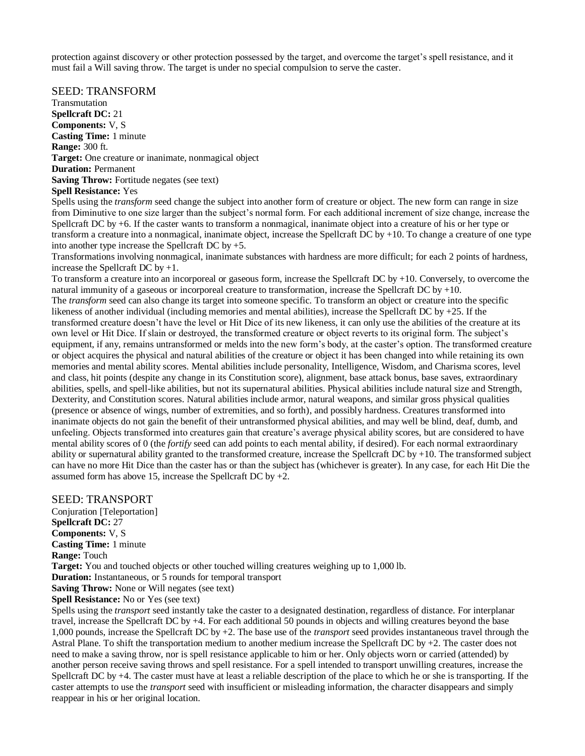protection against discovery or other protection possessed by the target, and overcome the target's spell resistance, and it must fail a Will saving throw. The target is under no special compulsion to serve the caster.

SEED: TRANSFORM

Transmutation **Spellcraft DC:** 21 **Components:** V, S **Casting Time:** 1 minute **Range:** 300 ft. **Target:** One creature or inanimate, nonmagical object **Duration:** Permanent **Saving Throw:** Fortitude negates (see text) **Spell Resistance:** Yes

Spells using the *transform* seed change the subject into another form of creature or object. The new form can range in size from Diminutive to one size larger than the subject's normal form. For each additional increment of size change, increase the Spellcraft DC by +6. If the caster wants to transform a nonmagical, inanimate object into a creature of his or her type or transform a creature into a nonmagical, inanimate object, increase the Spellcraft DC by  $+10$ . To change a creature of one type into another type increase the Spellcraft DC by +5.

Transformations involving nonmagical, inanimate substances with hardness are more difficult; for each 2 points of hardness, increase the Spellcraft DC by +1.

To transform a creature into an incorporeal or gaseous form, increase the Spellcraft DC by +10. Conversely, to overcome the natural immunity of a gaseous or incorporeal creature to transformation, increase the Spellcraft DC by +10. The *transform* seed can also change its target into someone specific. To transform an object or creature into the specific likeness of another individual (including memories and mental abilities), increase the Spellcraft DC by +25. If the transformed creature doesn't have the level or Hit Dice of its new likeness, it can only use the abilities of the creature at its own level or Hit Dice. If slain or destroyed, the transformed creature or object reverts to its original form. The subject's equipment, if any, remains untransformed or melds into the new form's body, at the caster's option. The transformed creature or object acquires the physical and natural abilities of the creature or object it has been changed into while retaining its own memories and mental ability scores. Mental abilities include personality, Intelligence, Wisdom, and Charisma scores, level and class, hit points (despite any change in its Constitution score), alignment, base attack bonus, base saves, extraordinary abilities, spells, and spell-like abilities, but not its supernatural abilities. Physical abilities include natural size and Strength, Dexterity, and Constitution scores. Natural abilities include armor, natural weapons, and similar gross physical qualities (presence or absence of wings, number of extremities, and so forth), and possibly hardness. Creatures transformed into inanimate objects do not gain the benefit of their untransformed physical abilities, and may well be blind, deaf, dumb, and unfeeling. Objects transformed into creatures gain that creature's average physical ability scores, but are considered to have mental ability scores of 0 (the *fortify* seed can add points to each mental ability, if desired). For each normal extraordinary ability or supernatural ability granted to the transformed creature, increase the Spellcraft DC by  $+10$ . The transformed subject can have no more Hit Dice than the caster has or than the subject has (whichever is greater). In any case, for each Hit Die the assumed form has above 15, increase the Spellcraft DC by  $+2$ .

SEED: TRANSPORT Conjuration [Teleportation] **Spellcraft DC:** 27 **Components:** V, S **Casting Time:** 1 minute **Range:** Touch **Target:** You and touched objects or other touched willing creatures weighing up to 1,000 lb. **Duration:** Instantaneous, or 5 rounds for temporal transport **Saving Throw:** None or Will negates (see text)

**Spell Resistance:** No or Yes (see text) Spells using the *transport* seed instantly take the caster to a designated destination, regardless of distance. For interplanar travel, increase the Spellcraft DC by +4. For each additional 50 pounds in objects and willing creatures beyond the base 1,000 pounds, increase the Spellcraft DC by +2. The base use of the *transport* seed provides instantaneous travel through the Astral Plane. To shift the transportation medium to another medium increase the Spellcraft DC by +2. The caster does not need to make a saving throw, nor is spell resistance applicable to him or her. Only objects worn or carried (attended) by another person receive saving throws and spell resistance. For a spell intended to transport unwilling creatures, increase the Spellcraft DC by +4. The caster must have at least a reliable description of the place to which he or she is transporting. If the caster attempts to use the *transport* seed with insufficient or misleading information, the character disappears and simply reappear in his or her original location.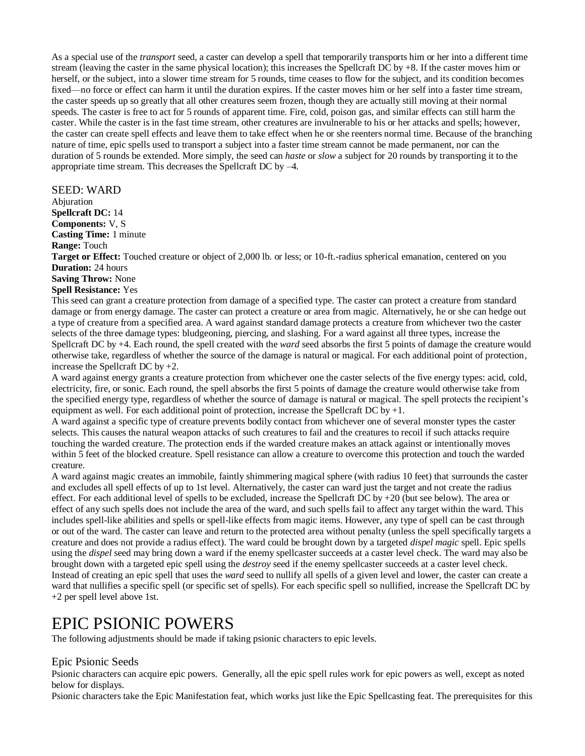As a special use of the *transport* seed, a caster can develop a spell that temporarily transports him or her into a different time stream (leaving the caster in the same physical location); this increases the Spellcraft DC by +8. If the caster moves him or herself, or the subject, into a slower time stream for 5 rounds, time ceases to flow for the subject, and its condition becomes fixed—no force or effect can harm it until the duration expires. If the caster moves him or her self into a faster time stream, the caster speeds up so greatly that all other creatures seem frozen, though they are actually still moving at their normal speeds. The caster is free to act for 5 rounds of apparent time. Fire, cold, poison gas, and similar effects can still harm the caster. While the caster is in the fast time stream, other creatures are invulnerable to his or her attacks and spells; however, the caster can create spell effects and leave them to take effect when he or she reenters normal time. Because of the branching nature of time, epic spells used to transport a subject into a faster time stream cannot be made permanent, nor can the duration of 5 rounds be extended. More simply, the seed can *haste* or *slow* a subject for 20 rounds by transporting it to the appropriate time stream. This decreases the Spellcraft DC by –4.

SEED: WARD

Abjuration

**Spellcraft DC:** 14

**Components:** V, S **Casting Time:** 1 minute

**Range:** Touch

**Target or Effect:** Touched creature or object of 2,000 lb. or less; or 10-ft.-radius spherical emanation, centered on you **Duration:** 24 hours

**Saving Throw:** None

**Spell Resistance:** Yes

This seed can grant a creature protection from damage of a specified type. The caster can protect a creature from standard damage or from energy damage. The caster can protect a creature or area from magic. Alternatively, he or she can hedge out a type of creature from a specified area. A ward against standard damage protects a creature from whichever two the caster selects of the three damage types: bludgeoning, piercing, and slashing. For a ward against all three types, increase the Spellcraft DC by +4. Each round, the spell created with the *ward* seed absorbs the first 5 points of damage the creature would otherwise take, regardless of whether the source of the damage is natural or magical. For each additional point of protection, increase the Spellcraft DC by +2.

A ward against energy grants a creature protection from whichever one the caster selects of the five energy types: acid, cold, electricity, fire, or sonic. Each round, the spell absorbs the first 5 points of damage the creature would otherwise take from the specified energy type, regardless of whether the source of damage is natural or magical. The spell protects the recipient's equipment as well. For each additional point of protection, increase the Spellcraft DC by  $+1$ .

A ward against a specific type of creature prevents bodily contact from whichever one of several monster types the caster selects. This causes the natural weapon attacks of such creatures to fail and the creatures to recoil if such attacks require touching the warded creature. The protection ends if the warded creature makes an attack against or intentionally moves within 5 feet of the blocked creature. Spell resistance can allow a creature to overcome this protection and touch the warded creature.

A ward against magic creates an immobile, faintly shimmering magical sphere (with radius 10 feet) that surrounds the caster and excludes all spell effects of up to 1st level. Alternatively, the caster can ward just the target and not create the radius effect. For each additional level of spells to be excluded, increase the Spellcraft DC by  $+20$  (but see below). The area or effect of any such spells does not include the area of the ward, and such spells fail to affect any target within the ward. This includes spell-like abilities and spells or spell-like effects from magic items. However, any type of spell can be cast through or out of the ward. The caster can leave and return to the protected area without penalty (unless the spell specifically targets a creature and does not provide a radius effect). The ward could be brought down by a targeted *dispel magic* spell. Epic spells using the *dispel* seed may bring down a ward if the enemy spellcaster succeeds at a caster level check. The ward may also be brought down with a targeted epic spell using the *destroy* seed if the enemy spellcaster succeeds at a caster level check. Instead of creating an epic spell that uses the *ward* seed to nullify all spells of a given level and lower, the caster can create a ward that nullifies a specific spell (or specific set of spells). For each specific spell so nullified, increase the Spellcraft DC by +2 per spell level above 1st.

## EPIC PSIONIC POWERS

The following adjustments should be made if taking psionic characters to epic levels.

## Epic Psionic Seeds

Psionic characters can acquire epic powers. Generally, all the epic spell rules work for epic powers as well, except as noted below for displays.

Psionic characters take the Epic Manifestation feat, which works just like the Epic Spellcasting feat. The prerequisites for this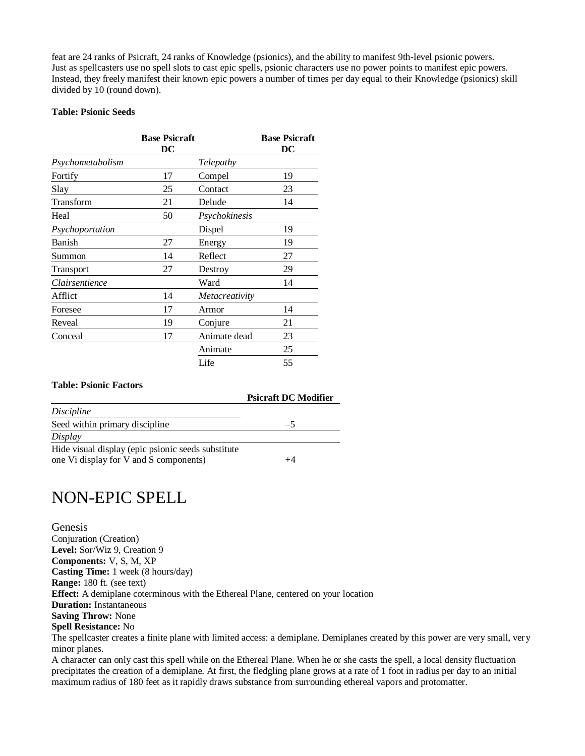feat are 24 ranks of Psicraft, 24 ranks of Knowledge (psionics), and the ability to manifest 9th-level psionic powers. Just as spellcasters use no spell slots to cast epic spells, psionic characters use no power points to manifest epic powers. Instead, they freely manifest their known epic powers a number of times per day equal to their Knowledge (psionics) skill divided by 10 (round down).

#### **Table: Psionic Seeds**

|                  | <b>Base Psicraft</b> |                       | <b>Base Psicraft</b> |
|------------------|----------------------|-----------------------|----------------------|
|                  | DC                   |                       | $\overline{DC}$      |
| Psychometabolism |                      | Telepathy             |                      |
| Fortify          | 17                   | Compel                | 19                   |
| Slay             | 25                   | Contact               | 23                   |
| Transform        | 21                   | Delude                | 14                   |
| Heal             | 50                   | Psychokinesis         |                      |
| Psychoportation  |                      | Dispel                | 19                   |
| Banish           | 27                   | Energy                | 19                   |
| Summon           | 14                   | Reflect               | 27                   |
| Transport        | 27                   | Destroy               | 29                   |
| Clairsentience   |                      | Ward                  | 14                   |
| Afflict          | 14                   | <i>Metacreativity</i> |                      |
| Foresee          | 17                   | Armor                 | 14                   |
| Reveal           | 19                   | Conjure               | 21                   |
| Conceal          | 17                   | Animate dead          | 23                   |
|                  |                      | Animate               | 25                   |
|                  |                      | Life                  | 55                   |

#### **Table: Psionic Factors**

|                                                     | <b>Psicraft DC Modifier</b> |
|-----------------------------------------------------|-----------------------------|
| Discipline                                          |                             |
| Seed within primary discipline                      | $-5$                        |
| Display                                             |                             |
| Hide visual display (epic psionic seeds substitute) |                             |
| one Vi display for V and S components)              |                             |

# NON-EPIC SPELL

**Genesis** Conjuration (Creation) **Level:** Sor/Wiz 9, Creation 9 **Components:** V, S, M, XP **Casting Time:** 1 week (8 hours/day) **Range:** 180 ft. (see text) **Effect:** A demiplane coterminous with the Ethereal Plane, centered on your location **Duration:** Instantaneous **Saving Throw:** None **Spell Resistance:** No The spellcaster creates a finite plane with limited access: a demiplane. Demiplanes created by this power are very small, very minor planes.

A character can only cast this spell while on the Ethereal Plane. When he or she casts the spell, a local density fluctuation precipitates the creation of a demiplane. At first, the fledgling plane grows at a rate of 1 foot in radius per day to an initial maximum radius of 180 feet as it rapidly draws substance from surrounding ethereal vapors and protomatter.